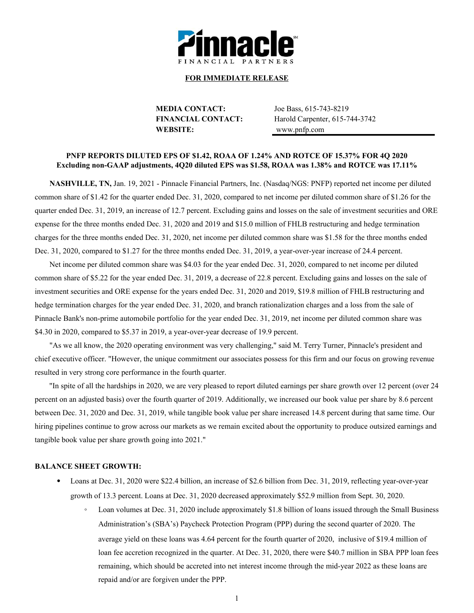

#### **FOR IMMEDIATE RELEASE**

**MEDIA CONTACT:** Joe Bass, 615-743-8219 **WEBSITE:** www.pnfp.com

**FINANCIAL CONTACT:** Harold Carpenter, 615-744-3742

### **PNFP REPORTS DILUTED EPS OF \$1.42, ROAA OF 1.24% AND ROTCE OF 15.37% FOR 4Q 2020 Excluding non-GAAP adjustments, 4Q20 diluted EPS was \$1.58, ROAA was 1.38% and ROTCE was 17.11%**

**NASHVILLE, TN,** Jan. 19, 2021 - Pinnacle Financial Partners, Inc. (Nasdaq/NGS: PNFP) reported net income per diluted common share of \$1.42 for the quarter ended Dec. 31, 2020, compared to net income per diluted common share of \$1.26 for the quarter ended Dec. 31, 2019, an increase of 12.7 percent. Excluding gains and losses on the sale of investment securities and ORE expense for the three months ended Dec. 31, 2020 and 2019 and \$15.0 million of FHLB restructuring and hedge termination charges for the three months ended Dec. 31, 2020, net income per diluted common share was \$1.58 for the three months ended Dec. 31, 2020, compared to \$1.27 for the three months ended Dec. 31, 2019, a year-over-year increase of 24.4 percent.

Net income per diluted common share was \$4.03 for the year ended Dec. 31, 2020, compared to net income per diluted common share of \$5.22 for the year ended Dec. 31, 2019, a decrease of 22.8 percent. Excluding gains and losses on the sale of investment securities and ORE expense for the years ended Dec. 31, 2020 and 2019, \$19.8 million of FHLB restructuring and hedge termination charges for the year ended Dec. 31, 2020, and branch rationalization charges and a loss from the sale of Pinnacle Bank's non-prime automobile portfolio for the year ended Dec. 31, 2019, net income per diluted common share was \$4.30 in 2020, compared to \$5.37 in 2019, a year-over-year decrease of 19.9 percent.

"As we all know, the 2020 operating environment was very challenging," said M. Terry Turner, Pinnacle's president and chief executive officer. "However, the unique commitment our associates possess for this firm and our focus on growing revenue resulted in very strong core performance in the fourth quarter.

"In spite of all the hardships in 2020, we are very pleased to report diluted earnings per share growth over 12 percent (over 24 percent on an adjusted basis) over the fourth quarter of 2019. Additionally, we increased our book value per share by 8.6 percent between Dec. 31, 2020 and Dec. 31, 2019, while tangible book value per share increased 14.8 percent during that same time. Our hiring pipelines continue to grow across our markets as we remain excited about the opportunity to produce outsized earnings and tangible book value per share growth going into 2021."

#### **BALANCE SHEET GROWTH:**

- Loans at Dec. 31, 2020 were \$22.4 billion, an increase of \$2.6 billion from Dec. 31, 2019, reflecting year-over-year growth of 13.3 percent. Loans at Dec. 31, 2020 decreased approximately \$52.9 million from Sept. 30, 2020.
	- Loan volumes at Dec. 31, 2020 include approximately \$1.8 billion of loans issued through the Small Business Administration's (SBA's) Paycheck Protection Program (PPP) during the second quarter of 2020. The average yield on these loans was 4.64 percent for the fourth quarter of 2020, inclusive of \$19.4 million of loan fee accretion recognized in the quarter. At Dec. 31, 2020, there were \$40.7 million in SBA PPP loan fees remaining, which should be accreted into net interest income through the mid-year 2022 as these loans are repaid and/or are forgiven under the PPP.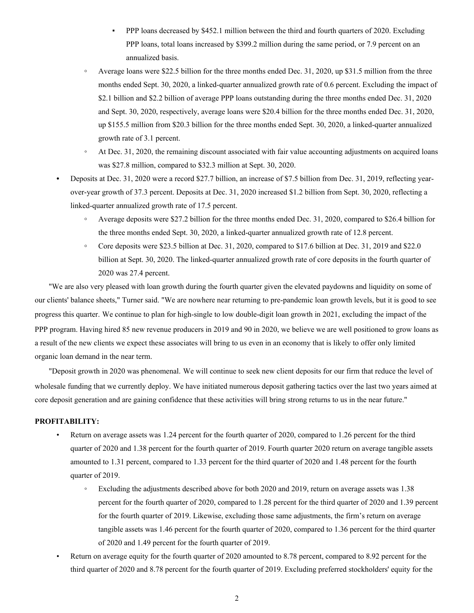- PPP loans decreased by \$452.1 million between the third and fourth quarters of 2020. Excluding PPP loans, total loans increased by \$399.2 million during the same period, or 7.9 percent on an annualized basis.
- **◦** Average loans were \$22.5 billion for the three months ended Dec. 31, 2020, up \$31.5 million from the three months ended Sept. 30, 2020, a linked-quarter annualized growth rate of 0.6 percent. Excluding the impact of \$2.1 billion and \$2.2 billion of average PPP loans outstanding during the three months ended Dec. 31, 2020 and Sept. 30, 2020, respectively, average loans were \$20.4 billion for the three months ended Dec. 31, 2020, up \$155.5 million from \$20.3 billion for the three months ended Sept. 30, 2020, a linked-quarter annualized growth rate of 3.1 percent.
- At Dec. 31, 2020, the remaining discount associated with fair value accounting adjustments on acquired loans was \$27.8 million, compared to \$32.3 million at Sept. 30, 2020.
- **•** Deposits at Dec. 31, 2020 were a record \$27.7 billion, an increase of \$7.5 billion from Dec. 31, 2019, reflecting yearover-year growth of 37.3 percent. Deposits at Dec. 31, 2020 increased \$1.2 billion from Sept. 30, 2020, reflecting a linked-quarter annualized growth rate of 17.5 percent.
	- **◦** Average deposits were \$27.2 billion for the three months ended Dec. 31, 2020, compared to \$26.4 billion for the three months ended Sept. 30, 2020, a linked-quarter annualized growth rate of 12.8 percent.
	- **◦** Core deposits were \$23.5 billion at Dec. 31, 2020, compared to \$17.6 billion at Dec. 31, 2019 and \$22.0 billion at Sept. 30, 2020. The linked-quarter annualized growth rate of core deposits in the fourth quarter of 2020 was 27.4 percent.

"We are also very pleased with loan growth during the fourth quarter given the elevated paydowns and liquidity on some of our clients' balance sheets," Turner said. "We are nowhere near returning to pre-pandemic loan growth levels, but it is good to see progress this quarter. We continue to plan for high-single to low double-digit loan growth in 2021, excluding the impact of the PPP program. Having hired 85 new revenue producers in 2019 and 90 in 2020, we believe we are well positioned to grow loans as a result of the new clients we expect these associates will bring to us even in an economy that is likely to offer only limited organic loan demand in the near term.

"Deposit growth in 2020 was phenomenal. We will continue to seek new client deposits for our firm that reduce the level of wholesale funding that we currently deploy. We have initiated numerous deposit gathering tactics over the last two years aimed at core deposit generation and are gaining confidence that these activities will bring strong returns to us in the near future."

## **PROFITABILITY:**

- Return on average assets was 1.24 percent for the fourth quarter of 2020, compared to 1.26 percent for the third quarter of 2020 and 1.38 percent for the fourth quarter of 2019. Fourth quarter 2020 return on average tangible assets amounted to 1.31 percent, compared to 1.33 percent for the third quarter of 2020 and 1.48 percent for the fourth quarter of 2019.
	- Excluding the adjustments described above for both 2020 and 2019, return on average assets was 1.38 percent for the fourth quarter of 2020, compared to 1.28 percent for the third quarter of 2020 and 1.39 percent for the fourth quarter of 2019. Likewise, excluding those same adjustments, the firm's return on average tangible assets was 1.46 percent for the fourth quarter of 2020, compared to 1.36 percent for the third quarter of 2020 and 1.49 percent for the fourth quarter of 2019.
- Return on average equity for the fourth quarter of 2020 amounted to 8.78 percent, compared to 8.92 percent for the third quarter of 2020 and 8.78 percent for the fourth quarter of 2019. Excluding preferred stockholders' equity for the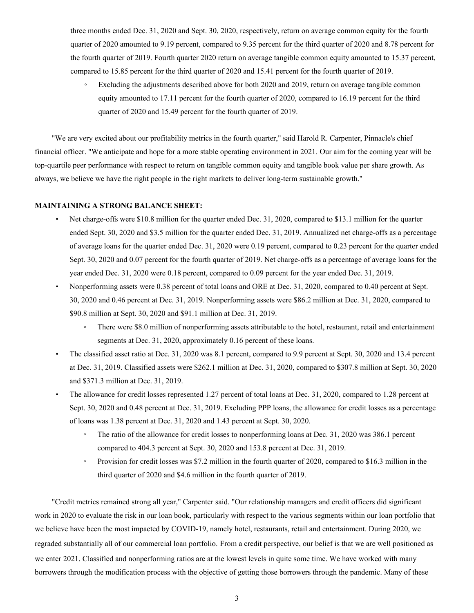three months ended Dec. 31, 2020 and Sept. 30, 2020, respectively, return on average common equity for the fourth quarter of 2020 amounted to 9.19 percent, compared to 9.35 percent for the third quarter of 2020 and 8.78 percent for the fourth quarter of 2019. Fourth quarter 2020 return on average tangible common equity amounted to 15.37 percent, compared to 15.85 percent for the third quarter of 2020 and 15.41 percent for the fourth quarter of 2019.

Excluding the adjustments described above for both 2020 and 2019, return on average tangible common equity amounted to 17.11 percent for the fourth quarter of 2020, compared to 16.19 percent for the third quarter of 2020 and 15.49 percent for the fourth quarter of 2019.

"We are very excited about our profitability metrics in the fourth quarter," said Harold R. Carpenter, Pinnacle's chief financial officer. "We anticipate and hope for a more stable operating environment in 2021. Our aim for the coming year will be top-quartile peer performance with respect to return on tangible common equity and tangible book value per share growth. As always, we believe we have the right people in the right markets to deliver long-term sustainable growth."

#### **MAINTAINING A STRONG BALANCE SHEET:**

- Net charge-offs were \$10.8 million for the quarter ended Dec. 31, 2020, compared to \$13.1 million for the quarter ended Sept. 30, 2020 and \$3.5 million for the quarter ended Dec. 31, 2019. Annualized net charge-offs as a percentage of average loans for the quarter ended Dec. 31, 2020 were 0.19 percent, compared to 0.23 percent for the quarter ended Sept. 30, 2020 and 0.07 percent for the fourth quarter of 2019. Net charge-offs as a percentage of average loans for the year ended Dec. 31, 2020 were 0.18 percent, compared to 0.09 percent for the year ended Dec. 31, 2019.
- Nonperforming assets were 0.38 percent of total loans and ORE at Dec. 31, 2020, compared to 0.40 percent at Sept. 30, 2020 and 0.46 percent at Dec. 31, 2019. Nonperforming assets were \$86.2 million at Dec. 31, 2020, compared to \$90.8 million at Sept. 30, 2020 and \$91.1 million at Dec. 31, 2019.
	- There were \$8.0 million of nonperforming assets attributable to the hotel, restaurant, retail and entertainment segments at Dec. 31, 2020, approximately 0.16 percent of these loans.
- The classified asset ratio at Dec. 31, 2020 was 8.1 percent, compared to 9.9 percent at Sept. 30, 2020 and 13.4 percent at Dec. 31, 2019. Classified assets were \$262.1 million at Dec. 31, 2020, compared to \$307.8 million at Sept. 30, 2020 and \$371.3 million at Dec. 31, 2019.
- The allowance for credit losses represented 1.27 percent of total loans at Dec. 31, 2020, compared to 1.28 percent at Sept. 30, 2020 and 0.48 percent at Dec. 31, 2019. Excluding PPP loans, the allowance for credit losses as a percentage of loans was 1.38 percent at Dec. 31, 2020 and 1.43 percent at Sept. 30, 2020.
	- The ratio of the allowance for credit losses to nonperforming loans at Dec. 31, 2020 was 386.1 percent compared to 404.3 percent at Sept. 30, 2020 and 153.8 percent at Dec. 31, 2019.
	- Provision for credit losses was \$7.2 million in the fourth quarter of 2020, compared to \$16.3 million in the third quarter of 2020 and \$4.6 million in the fourth quarter of 2019.

"Credit metrics remained strong all year," Carpenter said. "Our relationship managers and credit officers did significant work in 2020 to evaluate the risk in our loan book, particularly with respect to the various segments within our loan portfolio that we believe have been the most impacted by COVID-19, namely hotel, restaurants, retail and entertainment. During 2020, we regraded substantially all of our commercial loan portfolio. From a credit perspective, our belief is that we are well positioned as we enter 2021. Classified and nonperforming ratios are at the lowest levels in quite some time. We have worked with many borrowers through the modification process with the objective of getting those borrowers through the pandemic. Many of these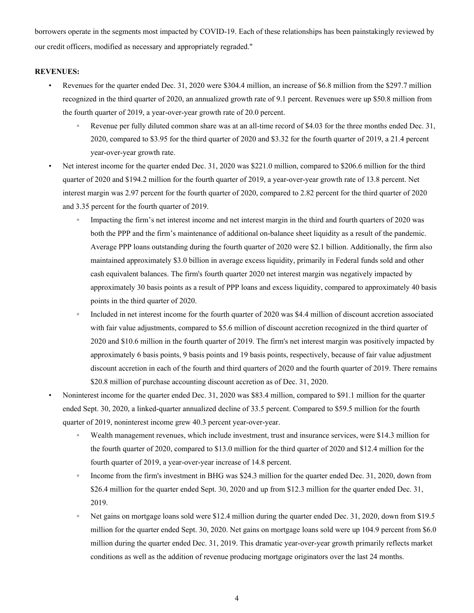borrowers operate in the segments most impacted by COVID-19. Each of these relationships has been painstakingly reviewed by our credit officers, modified as necessary and appropriately regraded."

#### **REVENUES:**

- Revenues for the quarter ended Dec. 31, 2020 were \$304.4 million, an increase of \$6.8 million from the \$297.7 million recognized in the third quarter of 2020, an annualized growth rate of 9.1 percent. Revenues were up \$50.8 million from the fourth quarter of 2019, a year-over-year growth rate of 20.0 percent.
	- Revenue per fully diluted common share was at an all-time record of \$4.03 for the three months ended Dec. 31, 2020, compared to \$3.95 for the third quarter of 2020 and \$3.32 for the fourth quarter of 2019, a 21.4 percent year-over-year growth rate.
- Net interest income for the quarter ended Dec. 31, 2020 was \$221.0 million, compared to \$206.6 million for the third quarter of 2020 and \$194.2 million for the fourth quarter of 2019, a year-over-year growth rate of 13.8 percent. Net interest margin was 2.97 percent for the fourth quarter of 2020, compared to 2.82 percent for the third quarter of 2020 and 3.35 percent for the fourth quarter of 2019.
	- Impacting the firm's net interest income and net interest margin in the third and fourth quarters of 2020 was both the PPP and the firm's maintenance of additional on-balance sheet liquidity as a result of the pandemic. Average PPP loans outstanding during the fourth quarter of 2020 were \$2.1 billion. Additionally, the firm also maintained approximately \$3.0 billion in average excess liquidity, primarily in Federal funds sold and other cash equivalent balances. The firm's fourth quarter 2020 net interest margin was negatively impacted by approximately 30 basis points as a result of PPP loans and excess liquidity, compared to approximately 40 basis points in the third quarter of 2020.
	- Included in net interest income for the fourth quarter of 2020 was \$4.4 million of discount accretion associated with fair value adjustments, compared to \$5.6 million of discount accretion recognized in the third quarter of 2020 and \$10.6 million in the fourth quarter of 2019. The firm's net interest margin was positively impacted by approximately 6 basis points, 9 basis points and 19 basis points, respectively, because of fair value adjustment discount accretion in each of the fourth and third quarters of 2020 and the fourth quarter of 2019. There remains \$20.8 million of purchase accounting discount accretion as of Dec. 31, 2020.
- Noninterest income for the quarter ended Dec. 31, 2020 was \$83.4 million, compared to \$91.1 million for the quarter ended Sept. 30, 2020, a linked-quarter annualized decline of 33.5 percent. Compared to \$59.5 million for the fourth quarter of 2019, noninterest income grew 40.3 percent year-over-year.
	- Wealth management revenues, which include investment, trust and insurance services, were \$14.3 million for the fourth quarter of 2020, compared to \$13.0 million for the third quarter of 2020 and \$12.4 million for the fourth quarter of 2019, a year-over-year increase of 14.8 percent.
	- Income from the firm's investment in BHG was \$24.3 million for the quarter ended Dec. 31, 2020, down from \$26.4 million for the quarter ended Sept. 30, 2020 and up from \$12.3 million for the quarter ended Dec. 31, 2019.
	- Net gains on mortgage loans sold were \$12.4 million during the quarter ended Dec. 31, 2020, down from \$19.5 million for the quarter ended Sept. 30, 2020. Net gains on mortgage loans sold were up 104.9 percent from \$6.0 million during the quarter ended Dec. 31, 2019. This dramatic year-over-year growth primarily reflects market conditions as well as the addition of revenue producing mortgage originators over the last 24 months.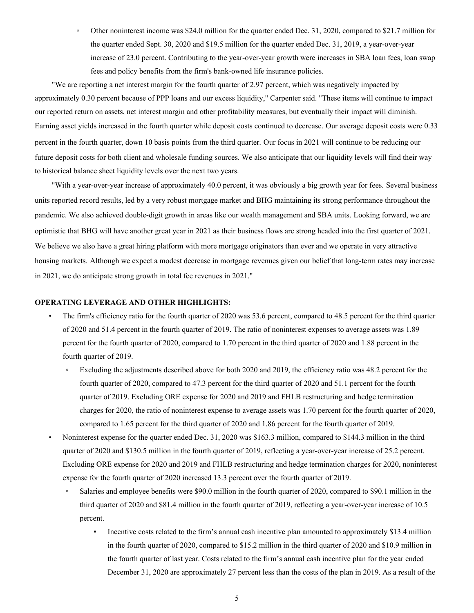◦ Other noninterest income was \$24.0 million for the quarter ended Dec. 31, 2020, compared to \$21.7 million for the quarter ended Sept. 30, 2020 and \$19.5 million for the quarter ended Dec. 31, 2019, a year-over-year increase of 23.0 percent. Contributing to the year-over-year growth were increases in SBA loan fees, loan swap fees and policy benefits from the firm's bank-owned life insurance policies.

"We are reporting a net interest margin for the fourth quarter of 2.97 percent, which was negatively impacted by approximately 0.30 percent because of PPP loans and our excess liquidity," Carpenter said. "These items will continue to impact our reported return on assets, net interest margin and other profitability measures, but eventually their impact will diminish. Earning asset yields increased in the fourth quarter while deposit costs continued to decrease. Our average deposit costs were 0.33 percent in the fourth quarter, down 10 basis points from the third quarter. Our focus in 2021 will continue to be reducing our future deposit costs for both client and wholesale funding sources. We also anticipate that our liquidity levels will find their way to historical balance sheet liquidity levels over the next two years.

"With a year-over-year increase of approximately 40.0 percent, it was obviously a big growth year for fees. Several business units reported record results, led by a very robust mortgage market and BHG maintaining its strong performance throughout the pandemic. We also achieved double-digit growth in areas like our wealth management and SBA units. Looking forward, we are optimistic that BHG will have another great year in 2021 as their business flows are strong headed into the first quarter of 2021. We believe we also have a great hiring platform with more mortgage originators than ever and we operate in very attractive housing markets. Although we expect a modest decrease in mortgage revenues given our belief that long-term rates may increase in 2021, we do anticipate strong growth in total fee revenues in 2021."

#### **OPERATING LEVERAGE AND OTHER HIGHLIGHTS:**

- The firm's efficiency ratio for the fourth quarter of 2020 was 53.6 percent, compared to 48.5 percent for the third quarter of 2020 and 51.4 percent in the fourth quarter of 2019. The ratio of noninterest expenses to average assets was 1.89 percent for the fourth quarter of 2020, compared to 1.70 percent in the third quarter of 2020 and 1.88 percent in the fourth quarter of 2019.
	- Excluding the adjustments described above for both 2020 and 2019, the efficiency ratio was 48.2 percent for the fourth quarter of 2020, compared to 47.3 percent for the third quarter of 2020 and 51.1 percent for the fourth quarter of 2019. Excluding ORE expense for 2020 and 2019 and FHLB restructuring and hedge termination charges for 2020, the ratio of noninterest expense to average assets was 1.70 percent for the fourth quarter of 2020, compared to 1.65 percent for the third quarter of 2020 and 1.86 percent for the fourth quarter of 2019.
- Noninterest expense for the quarter ended Dec. 31, 2020 was \$163.3 million, compared to \$144.3 million in the third quarter of 2020 and \$130.5 million in the fourth quarter of 2019, reflecting a year-over-year increase of 25.2 percent. Excluding ORE expense for 2020 and 2019 and FHLB restructuring and hedge termination charges for 2020, noninterest expense for the fourth quarter of 2020 increased 13.3 percent over the fourth quarter of 2019.
	- Salaries and employee benefits were \$90.0 million in the fourth quarter of 2020, compared to \$90.1 million in the third quarter of 2020 and \$81.4 million in the fourth quarter of 2019, reflecting a year-over-year increase of 10.5 percent.
		- Incentive costs related to the firm's annual cash incentive plan amounted to approximately \$13.4 million in the fourth quarter of 2020, compared to \$15.2 million in the third quarter of 2020 and \$10.9 million in the fourth quarter of last year. Costs related to the firm's annual cash incentive plan for the year ended December 31, 2020 are approximately 27 percent less than the costs of the plan in 2019. As a result of the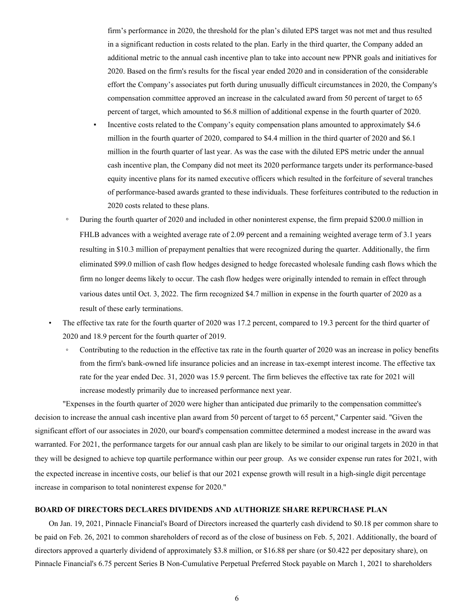firm's performance in 2020, the threshold for the plan's diluted EPS target was not met and thus resulted in a significant reduction in costs related to the plan. Early in the third quarter, the Company added an additional metric to the annual cash incentive plan to take into account new PPNR goals and initiatives for 2020. Based on the firm's results for the fiscal year ended 2020 and in consideration of the considerable effort the Company's associates put forth during unusually difficult circumstances in 2020, the Company's compensation committee approved an increase in the calculated award from 50 percent of target to 65 percent of target, which amounted to \$6.8 million of additional expense in the fourth quarter of 2020.

- Incentive costs related to the Company's equity compensation plans amounted to approximately \$4.6 million in the fourth quarter of 2020, compared to \$4.4 million in the third quarter of 2020 and \$6.1 million in the fourth quarter of last year. As was the case with the diluted EPS metric under the annual cash incentive plan, the Company did not meet its 2020 performance targets under its performance-based equity incentive plans for its named executive officers which resulted in the forfeiture of several tranches of performance-based awards granted to these individuals. These forfeitures contributed to the reduction in 2020 costs related to these plans.
- During the fourth quarter of 2020 and included in other noninterest expense, the firm prepaid \$200.0 million in FHLB advances with a weighted average rate of 2.09 percent and a remaining weighted average term of 3.1 years resulting in \$10.3 million of prepayment penalties that were recognized during the quarter. Additionally, the firm eliminated \$99.0 million of cash flow hedges designed to hedge forecasted wholesale funding cash flows which the firm no longer deems likely to occur. The cash flow hedges were originally intended to remain in effect through various dates until Oct. 3, 2022. The firm recognized \$4.7 million in expense in the fourth quarter of 2020 as a result of these early terminations.
- The effective tax rate for the fourth quarter of 2020 was 17.2 percent, compared to 19.3 percent for the third quarter of 2020 and 18.9 percent for the fourth quarter of 2019.
	- Contributing to the reduction in the effective tax rate in the fourth quarter of 2020 was an increase in policy benefits from the firm's bank-owned life insurance policies and an increase in tax-exempt interest income. The effective tax rate for the year ended Dec. 31, 2020 was 15.9 percent. The firm believes the effective tax rate for 2021 will increase modestly primarily due to increased performance next year.

"Expenses in the fourth quarter of 2020 were higher than anticipated due primarily to the compensation committee's decision to increase the annual cash incentive plan award from 50 percent of target to 65 percent," Carpenter said. "Given the significant effort of our associates in 2020, our board's compensation committee determined a modest increase in the award was warranted. For 2021, the performance targets for our annual cash plan are likely to be similar to our original targets in 2020 in that they will be designed to achieve top quartile performance within our peer group. As we consider expense run rates for 2021, with the expected increase in incentive costs, our belief is that our 2021 expense growth will result in a high-single digit percentage increase in comparison to total noninterest expense for 2020."

#### **BOARD OF DIRECTORS DECLARES DIVIDENDS AND AUTHORIZE SHARE REPURCHASE PLAN**

On Jan. 19, 2021, Pinnacle Financial's Board of Directors increased the quarterly cash dividend to \$0.18 per common share to be paid on Feb. 26, 2021 to common shareholders of record as of the close of business on Feb. 5, 2021. Additionally, the board of directors approved a quarterly dividend of approximately \$3.8 million, or \$16.88 per share (or \$0.422 per depositary share), on Pinnacle Financial's 6.75 percent Series B Non-Cumulative Perpetual Preferred Stock payable on March 1, 2021 to shareholders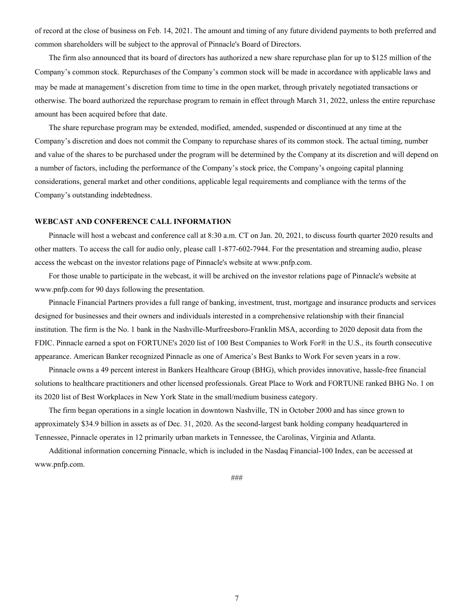of record at the close of business on Feb. 14, 2021. The amount and timing of any future dividend payments to both preferred and common shareholders will be subject to the approval of Pinnacle's Board of Directors.

The firm also announced that its board of directors has authorized a new share repurchase plan for up to \$125 million of the Company's common stock. Repurchases of the Company's common stock will be made in accordance with applicable laws and may be made at management's discretion from time to time in the open market, through privately negotiated transactions or otherwise. The board authorized the repurchase program to remain in effect through March 31, 2022, unless the entire repurchase amount has been acquired before that date.

The share repurchase program may be extended, modified, amended, suspended or discontinued at any time at the Company's discretion and does not commit the Company to repurchase shares of its common stock. The actual timing, number and value of the shares to be purchased under the program will be determined by the Company at its discretion and will depend on a number of factors, including the performance of the Company's stock price, the Company's ongoing capital planning considerations, general market and other conditions, applicable legal requirements and compliance with the terms of the Company's outstanding indebtedness.

#### **WEBCAST AND CONFERENCE CALL INFORMATION**

Pinnacle will host a webcast and conference call at 8:30 a.m. CT on Jan. 20, 2021, to discuss fourth quarter 2020 results and other matters. To access the call for audio only, please call 1-877-602-7944. For the presentation and streaming audio, please access the webcast on the investor relations page of Pinnacle's website at www.pnfp.com.

For those unable to participate in the webcast, it will be archived on the investor relations page of Pinnacle's website at www.pnfp.com for 90 days following the presentation.

Pinnacle Financial Partners provides a full range of banking, investment, trust, mortgage and insurance products and services designed for businesses and their owners and individuals interested in a comprehensive relationship with their financial institution. The firm is the No. 1 bank in the Nashville-Murfreesboro-Franklin MSA, according to 2020 deposit data from the FDIC. Pinnacle earned a spot on FORTUNE's 2020 list of 100 Best Companies to Work For® in the U.S., its fourth consecutive appearance. American Banker recognized Pinnacle as one of America's Best Banks to Work For seven years in a row.

Pinnacle owns a 49 percent interest in Bankers Healthcare Group (BHG), which provides innovative, hassle-free financial solutions to healthcare practitioners and other licensed professionals. Great Place to Work and FORTUNE ranked BHG No. 1 on its 2020 list of Best Workplaces in New York State in the small/medium business category.

The firm began operations in a single location in downtown Nashville, TN in October 2000 and has since grown to approximately \$34.9 billion in assets as of Dec. 31, 2020. As the second-largest bank holding company headquartered in Tennessee, Pinnacle operates in 12 primarily urban markets in Tennessee, the Carolinas, Virginia and Atlanta.

Additional information concerning Pinnacle, which is included in the Nasdaq Financial-100 Index, can be accessed at www.pnfp.com.

###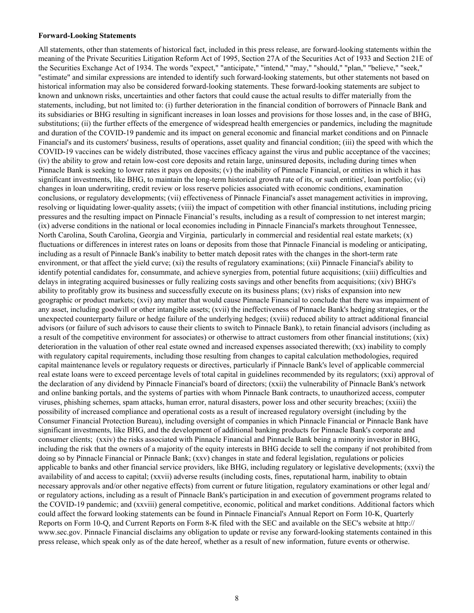#### **Forward-Looking Statements**

All statements, other than statements of historical fact, included in this press release, are forward-looking statements within the meaning of the Private Securities Litigation Reform Act of 1995, Section 27A of the Securities Act of 1933 and Section 21E of the Securities Exchange Act of 1934. The words "expect," "anticipate," "intend," "may," "should," "plan," "believe," "seek," "estimate" and similar expressions are intended to identify such forward-looking statements, but other statements not based on historical information may also be considered forward-looking statements. These forward-looking statements are subject to known and unknown risks, uncertainties and other factors that could cause the actual results to differ materially from the statements, including, but not limited to: (i) further deterioration in the financial condition of borrowers of Pinnacle Bank and its subsidiaries or BHG resulting in significant increases in loan losses and provisions for those losses and, in the case of BHG, substitutions; (ii) the further effects of the emergence of widespread health emergencies or pandemics, including the magnitude and duration of the COVID-19 pandemic and its impact on general economic and financial market conditions and on Pinnacle Financial's and its customers' business, results of operations, asset quality and financial condition; (iii) the speed with which the COVID-19 vaccines can be widely distributed, those vaccines efficacy against the virus and public acceptance of the vaccines; (iv) the ability to grow and retain low-cost core deposits and retain large, uninsured deposits, including during times when Pinnacle Bank is seeking to lower rates it pays on deposits; (v) the inability of Pinnacle Financial, or entities in which it has significant investments, like BHG, to maintain the long-term historical growth rate of its, or such entities', loan portfolio; (vi) changes in loan underwriting, credit review or loss reserve policies associated with economic conditions, examination conclusions, or regulatory developments; (vii) effectiveness of Pinnacle Financial's asset management activities in improving, resolving or liquidating lower-quality assets; (viii) the impact of competition with other financial institutions, including pricing pressures and the resulting impact on Pinnacle Financial's results, including as a result of compression to net interest margin; (ix) adverse conditions in the national or local economies including in Pinnacle Financial's markets throughout Tennessee, North Carolina, South Carolina, Georgia and Virginia, particularly in commercial and residential real estate markets; (x) fluctuations or differences in interest rates on loans or deposits from those that Pinnacle Financial is modeling or anticipating, including as a result of Pinnacle Bank's inability to better match deposit rates with the changes in the short-term rate environment, or that affect the yield curve; (xi) the results of regulatory examinations; (xii) Pinnacle Financial's ability to identify potential candidates for, consummate, and achieve synergies from, potential future acquisitions; (xiii) difficulties and delays in integrating acquired businesses or fully realizing costs savings and other benefits from acquisitions; (xiv) BHG's ability to profitably grow its business and successfully execute on its business plans; (xv) risks of expansion into new geographic or product markets; (xvi) any matter that would cause Pinnacle Financial to conclude that there was impairment of any asset, including goodwill or other intangible assets; (xvii) the ineffectiveness of Pinnacle Bank's hedging strategies, or the unexpected counterparty failure or hedge failure of the underlying hedges; (xviii) reduced ability to attract additional financial advisors (or failure of such advisors to cause their clients to switch to Pinnacle Bank), to retain financial advisors (including as a result of the competitive environment for associates) or otherwise to attract customers from other financial institutions; (xix) deterioration in the valuation of other real estate owned and increased expenses associated therewith; (xx) inability to comply with regulatory capital requirements, including those resulting from changes to capital calculation methodologies, required capital maintenance levels or regulatory requests or directives, particularly if Pinnacle Bank's level of applicable commercial real estate loans were to exceed percentage levels of total capital in guidelines recommended by its regulators; (xxi) approval of the declaration of any dividend by Pinnacle Financial's board of directors; (xxii) the vulnerability of Pinnacle Bank's network and online banking portals, and the systems of parties with whom Pinnacle Bank contracts, to unauthorized access, computer viruses, phishing schemes, spam attacks, human error, natural disasters, power loss and other security breaches; (xxiii) the possibility of increased compliance and operational costs as a result of increased regulatory oversight (including by the Consumer Financial Protection Bureau), including oversight of companies in which Pinnacle Financial or Pinnacle Bank have significant investments, like BHG, and the development of additional banking products for Pinnacle Bank's corporate and consumer clients; (xxiv) the risks associated with Pinnacle Financial and Pinnacle Bank being a minority investor in BHG, including the risk that the owners of a majority of the equity interests in BHG decide to sell the company if not prohibited from doing so by Pinnacle Financial or Pinnacle Bank; (xxv) changes in state and federal legislation, regulations or policies applicable to banks and other financial service providers, like BHG, including regulatory or legislative developments; (xxvi) the availability of and access to capital; (xxvii) adverse results (including costs, fines, reputational harm, inability to obtain necessary approvals and/or other negative effects) from current or future litigation, regulatory examinations or other legal and/ or regulatory actions, including as a result of Pinnacle Bank's participation in and execution of government programs related to the COVID-19 pandemic; and (xxviii) general competitive, economic, political and market conditions. Additional factors which could affect the forward looking statements can be found in Pinnacle Financial's Annual Report on Form 10-K, Quarterly Reports on Form 10-Q, and Current Reports on Form 8-K filed with the SEC and available on the SEC's website at http:// www.sec.gov. Pinnacle Financial disclaims any obligation to update or revise any forward-looking statements contained in this press release, which speak only as of the date hereof, whether as a result of new information, future events or otherwise.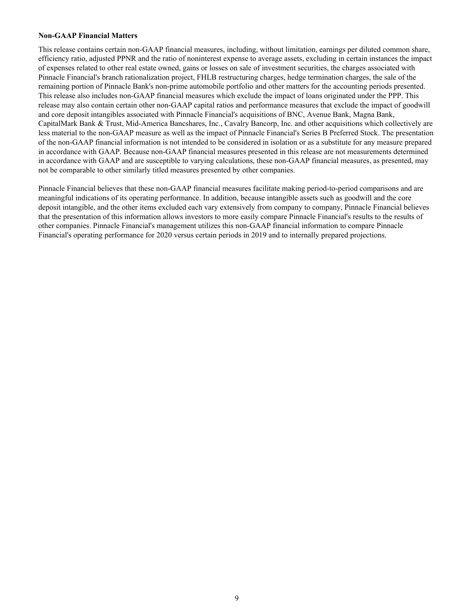#### **Non-GAAP Financial Matters**

This release contains certain non-GAAP financial measures, including, without limitation, earnings per diluted common share, efficiency ratio, adjusted PPNR and the ratio of noninterest expense to average assets, excluding in certain instances the impact of expenses related to other real estate owned, gains or losses on sale of investment securities, the charges associated with Pinnacle Financial's branch rationalization project, FHLB restructuring charges, hedge termination charges, the sale of the remaining portion of Pinnacle Bank's non-prime automobile portfolio and other matters for the accounting periods presented. This release also includes non-GAAP financial measures which exclude the impact of loans originated under the PPP. This release may also contain certain other non-GAAP capital ratios and performance measures that exclude the impact of goodwill and core deposit intangibles associated with Pinnacle Financial's acquisitions of BNC, Avenue Bank, Magna Bank, CapitalMark Bank & Trust, Mid-America Bancshares, Inc., Cavalry Bancorp, Inc. and other acquisitions which collectively are less material to the non-GAAP measure as well as the impact of Pinnacle Financial's Series B Preferred Stock. The presentation of the non-GAAP financial information is not intended to be considered in isolation or as a substitute for any measure prepared in accordance with GAAP. Because non-GAAP financial measures presented in this release are not measurements determined in accordance with GAAP and are susceptible to varying calculations, these non-GAAP financial measures, as presented, may not be comparable to other similarly titled measures presented by other companies.

Pinnacle Financial believes that these non-GAAP financial measures facilitate making period-to-period comparisons and are meaningful indications of its operating performance. In addition, because intangible assets such as goodwill and the core deposit intangible, and the other items excluded each vary extensively from company to company, Pinnacle Financial believes that the presentation of this information allows investors to more easily compare Pinnacle Financial's results to the results of other companies. Pinnacle Financial's management utilizes this non-GAAP financial information to compare Pinnacle Financial's operating performance for 2020 versus certain periods in 2019 and to internally prepared projections.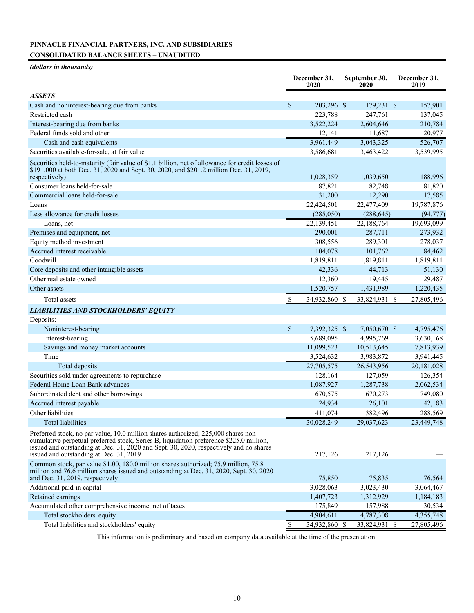## **PINNACLE FINANCIAL PARTNERS, INC. AND SUBSIDIARIES CONSOLIDATED BALANCE SHEETS – UNAUDITED**

*(dollars in thousands)*

|                                                                                                                                                                                                                                                                                                                    |               | December 31,<br>2020 | September 30,<br>2020 | December 31,<br>2019 |
|--------------------------------------------------------------------------------------------------------------------------------------------------------------------------------------------------------------------------------------------------------------------------------------------------------------------|---------------|----------------------|-----------------------|----------------------|
| ASSETS                                                                                                                                                                                                                                                                                                             |               |                      |                       |                      |
| Cash and noninterest-bearing due from banks                                                                                                                                                                                                                                                                        | \$            | 203,296 \$           | 179,231 \$            | 157,901              |
| Restricted cash                                                                                                                                                                                                                                                                                                    |               | 223,788              | 247,761               | 137,045              |
| Interest-bearing due from banks                                                                                                                                                                                                                                                                                    |               | 3,522,224            | 2,604,646             | 210,784              |
| Federal funds sold and other                                                                                                                                                                                                                                                                                       |               | 12,141               | 11,687                | 20,977               |
| Cash and cash equivalents                                                                                                                                                                                                                                                                                          |               | 3,961,449            | 3,043,325             | 526,707              |
| Securities available-for-sale, at fair value                                                                                                                                                                                                                                                                       |               | 3,586,681            | 3,463,422             | 3,539,995            |
| Securities held-to-maturity (fair value of \$1.1 billion, net of allowance for credit losses of<br>\$191,000 at both Dec. 31, 2020 and Sept. 30, 2020, and \$201.2 million Dec. 31, 2019,<br>respectively)                                                                                                         |               | 1,028,359            | 1,039,650             | 188,996              |
| Consumer loans held-for-sale                                                                                                                                                                                                                                                                                       |               | 87,821               | 82,748                | 81,820               |
| Commercial loans held-for-sale                                                                                                                                                                                                                                                                                     |               | 31,200               | 12,290                | 17,585               |
| Loans                                                                                                                                                                                                                                                                                                              |               | 22,424,501           | 22,477,409            | 19,787,876           |
| Less allowance for credit losses                                                                                                                                                                                                                                                                                   |               | (285,050)            | (288, 645)            | (94, 777)            |
| Loans, net                                                                                                                                                                                                                                                                                                         |               | 22,139,451           | 22,188,764            | 19,693,099           |
| Premises and equipment, net                                                                                                                                                                                                                                                                                        |               | 290,001              | 287,711               | 273,932              |
| Equity method investment                                                                                                                                                                                                                                                                                           |               | 308,556              | 289,301               | 278,037              |
| Accrued interest receivable                                                                                                                                                                                                                                                                                        |               | 104,078              | 101,762               | 84,462               |
| Goodwill                                                                                                                                                                                                                                                                                                           |               | 1,819,811            | 1,819,811             | 1,819,811            |
| Core deposits and other intangible assets                                                                                                                                                                                                                                                                          |               | 42,336               | 44,713                | 51,130               |
| Other real estate owned                                                                                                                                                                                                                                                                                            |               | 12,360               | 19,445                | 29,487               |
| Other assets                                                                                                                                                                                                                                                                                                       |               | 1,520,757            | 1,431,989             | 1,220,435            |
| Total assets                                                                                                                                                                                                                                                                                                       |               | 34,932,860 \$        | 33,824,931 \$         | 27,805,496           |
|                                                                                                                                                                                                                                                                                                                    |               |                      |                       |                      |
| LIABILITIES AND STOCKHOLDERS' EQUITY                                                                                                                                                                                                                                                                               |               |                      |                       |                      |
| Deposits:<br>Noninterest-bearing                                                                                                                                                                                                                                                                                   | $\mathcal{S}$ | 7,392,325 \$         | 7,050,670 \$          | 4,795,476            |
|                                                                                                                                                                                                                                                                                                                    |               |                      |                       |                      |
| Interest-bearing                                                                                                                                                                                                                                                                                                   |               | 5,689,095            | 4,995,769             | 3,630,168            |
| Savings and money market accounts<br>Time                                                                                                                                                                                                                                                                          |               | 11,099,523           | 10,513,645            | 7,813,939            |
|                                                                                                                                                                                                                                                                                                                    |               | 3,524,632            | 3,983,872             | 3,941,445            |
| Total deposits                                                                                                                                                                                                                                                                                                     |               | 27,705,575           | 26,543,956            | 20,181,028           |
| Securities sold under agreements to repurchase<br>Federal Home Loan Bank advances                                                                                                                                                                                                                                  |               | 128,164              | 127,059               | 126,354              |
|                                                                                                                                                                                                                                                                                                                    |               | 1,087,927            | 1,287,738             | 2,062,534            |
| Subordinated debt and other borrowings                                                                                                                                                                                                                                                                             |               | 670,575              | 670,273               | 749,080              |
| Accrued interest payable                                                                                                                                                                                                                                                                                           |               | 24,934               | 26,101                | 42,183               |
| Other liabilities                                                                                                                                                                                                                                                                                                  |               | 411,074              | 382,496               | 288,569              |
| Total liabilities                                                                                                                                                                                                                                                                                                  |               | 30,028,249           | 29,037,623            | 23,449,748           |
| Preferred stock, no par value, 10.0 million shares authorized; 225,000 shares non-<br>cumulative perpetual preferred stock, Series B, liquidation preference \$225.0 million,<br>issued and outstanding at Dec. 31, 2020 and Sept. 30, 2020, respectively and no shares<br>issued and outstanding at Dec. 31, 2019 |               | 217,126              | 217,126               |                      |
| Common stock, par value \$1.00, 180.0 million shares authorized; 75.9 million, 75.8<br>million and 76.6 million shares issued and outstanding at Dec. 31, 2020, Sept. 30, 2020<br>and Dec. 31, 2019, respectively                                                                                                  |               | 75,850               | 75,835                | 76,564               |
| Additional paid-in capital                                                                                                                                                                                                                                                                                         |               | 3,028,063            | 3,023,430             | 3,064,467            |
| Retained earnings                                                                                                                                                                                                                                                                                                  |               | 1,407,723            | 1,312,929             | 1,184,183            |
| Accumulated other comprehensive income, net of taxes                                                                                                                                                                                                                                                               |               | 175,849              | 157,988               | 30,534               |
| Total stockholders' equity                                                                                                                                                                                                                                                                                         |               | 4,904,611            | 4,787,308             | 4,355,748            |
| Total liabilities and stockholders' equity                                                                                                                                                                                                                                                                         | \$            | 34,932,860 \$        | 33,824,931 \$         | 27,805,496           |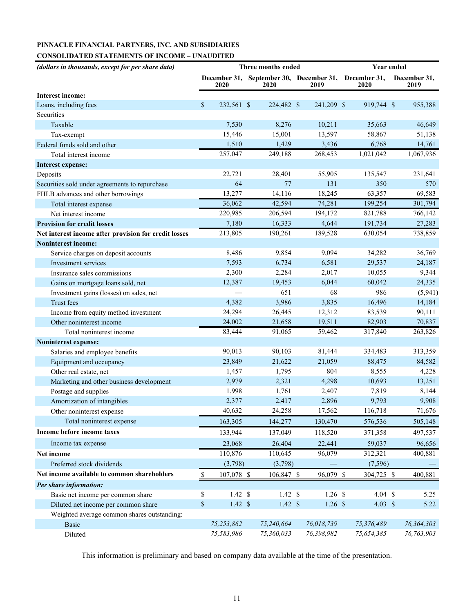## **PINNACLE FINANCIAL PARTNERS, INC. AND SUBSIDIARIES**

## **CONSOLIDATED STATEMENTS OF INCOME – UNAUDITED**

| (dollars in thousands, except for per share data)     | Three months ended   |                    |  |                                                              |  |            | <b>Year ended</b> |                    |  |                      |
|-------------------------------------------------------|----------------------|--------------------|--|--------------------------------------------------------------|--|------------|-------------------|--------------------|--|----------------------|
|                                                       |                      | 2020               |  | December 31, September 30, December 31, December 31,<br>2020 |  | 2019       |                   | 2020               |  | December 31,<br>2019 |
| <b>Interest income:</b>                               |                      |                    |  |                                                              |  |            |                   |                    |  |                      |
| Loans, including fees                                 | \$                   | 232,561 \$         |  | 224,482 \$                                                   |  | 241,209 \$ |                   | 919,744 \$         |  | 955,388              |
| Securities                                            |                      |                    |  |                                                              |  |            |                   |                    |  |                      |
| Taxable                                               |                      | 7,530              |  | 8,276                                                        |  | 10,211     |                   | 35,663             |  | 46,649               |
| Tax-exempt                                            |                      | 15,446             |  | 15,001                                                       |  | 13,597     |                   | 58,867             |  | 51,138               |
| Federal funds sold and other                          |                      | 1,510              |  | 1,429                                                        |  | 3,436      |                   | 6,768              |  | 14,761               |
| Total interest income                                 |                      | 257,047            |  | 249,188                                                      |  | 268,453    |                   | 1,021,042          |  | 1,067,936            |
| <b>Interest expense:</b>                              |                      |                    |  |                                                              |  |            |                   |                    |  |                      |
| Deposits                                              |                      | 22,721             |  | 28,401                                                       |  | 55,905     |                   | 135,547            |  | 231,641              |
| Securities sold under agreements to repurchase        |                      | 64                 |  | 77                                                           |  | 131        |                   | 350                |  | 570                  |
| FHLB advances and other borrowings                    |                      | 13,277             |  | 14,116                                                       |  | 18,245     |                   | 63,357             |  | 69,583               |
| Total interest expense                                |                      | 36,062             |  | 42,594                                                       |  | 74,281     |                   | 199,254            |  | 301,794              |
| Net interest income                                   |                      | 220,985            |  | 206,594                                                      |  | 194,172    |                   | 821,788            |  | 766,142              |
| <b>Provision for credit losses</b>                    |                      | 7,180              |  | 16,333                                                       |  | 4,644      |                   | 191,734            |  | 27,283               |
| Net interest income after provision for credit losses |                      | 213,805            |  | 190,261                                                      |  | 189,528    |                   | 630,054            |  | 738,859              |
| <b>Noninterest income:</b>                            |                      |                    |  |                                                              |  |            |                   |                    |  |                      |
| Service charges on deposit accounts                   |                      | 8,486              |  | 9,854                                                        |  | 9,094      |                   | 34,282             |  | 36,769               |
| Investment services                                   |                      | 7,593              |  | 6,734                                                        |  | 6,581      |                   | 29,537             |  | 24,187               |
| Insurance sales commissions                           |                      | 2,300              |  | 2,284                                                        |  | 2,017      |                   | 10,055             |  | 9,344                |
| Gains on mortgage loans sold, net                     |                      | 12,387             |  | 19,453                                                       |  | 6,044      |                   | 60,042             |  | 24,335               |
| Investment gains (losses) on sales, net               |                      |                    |  | 651                                                          |  | 68         |                   | 986                |  | (5,941)              |
| Trust fees                                            |                      | 4,382              |  | 3,986                                                        |  | 3,835      |                   | 16,496             |  | 14,184               |
| Income from equity method investment                  |                      | 24,294             |  | 26,445                                                       |  | 12,312     |                   | 83,539             |  | 90,111               |
| Other noninterest income                              |                      | 24,002             |  | 21,658                                                       |  | 19,511     |                   | 82,903             |  | 70,837               |
| Total noninterest income                              |                      | 83,444             |  | 91,065                                                       |  | 59,462     |                   | 317,840            |  | 263,826              |
| Noninterest expense:                                  |                      |                    |  |                                                              |  |            |                   |                    |  |                      |
| Salaries and employee benefits                        |                      | 90,013             |  | 90,103                                                       |  | 81,444     |                   | 334,483            |  | 313,359              |
| Equipment and occupancy                               |                      | 23,849             |  | 21,622                                                       |  | 21,059     |                   | 88,475             |  | 84,582               |
| Other real estate, net                                |                      | 1,457              |  | 1,795                                                        |  | 804        |                   | 8,555              |  | 4,228                |
| Marketing and other business development              |                      | 2,979              |  | 2,321                                                        |  | 4,298      |                   | 10,693             |  | 13,251               |
| Postage and supplies                                  |                      | 1,998              |  | 1,761                                                        |  | 2,407      |                   | 7,819              |  | 8,144                |
| Amortization of intangibles                           |                      | 2,377              |  | 2,417                                                        |  | 2,896      |                   | 9,793              |  | 9,908                |
| Other noninterest expense                             |                      | 40,632             |  | 24,258                                                       |  | 17,562     |                   | 116,718            |  | 71,676               |
| Total noninterest expense                             |                      | 163,305            |  | 144,277                                                      |  | 130,470    |                   | 576,536            |  | 505,148              |
| Income before income taxes                            |                      | 133,944            |  | 137,049                                                      |  | 118,520    |                   | 371,358            |  | 497,537              |
| Income tax expense                                    |                      | 23,068             |  | 26,404                                                       |  | 22,441     |                   | 59,037             |  | 96,656               |
| Net income                                            |                      | 110,876            |  | 110,645                                                      |  | 96,079     |                   | 312,321            |  | 400,881              |
| Preferred stock dividends                             |                      | (3,798)            |  | (3,798)                                                      |  |            |                   | (7,596)            |  |                      |
| Net income available to common shareholders           | $\sqrt{\frac{2}{5}}$ | 107,078 \$         |  | 106,847 \$                                                   |  | 96,079 \$  |                   | 304,725 \$         |  | 400,881              |
| Per share information:                                |                      |                    |  |                                                              |  |            |                   |                    |  |                      |
| Basic net income per common share                     | \$                   | $1.42 \text{ }$ \$ |  | $1.42 \text{ }$ \$                                           |  | $1.26$ \$  |                   | $4.04 \text{ } $$  |  | 5.25                 |
| Diluted net income per common share                   | \$                   | $1.42 \text{ }$ \$ |  | $1.42 \text{ }$ \$                                           |  | $1.26$ \$  |                   | $4.03 \text{ }$ \$ |  | 5.22                 |
| Weighted average common shares outstanding:           |                      |                    |  |                                                              |  |            |                   |                    |  |                      |
| <b>Basic</b>                                          |                      | 75,253,862         |  | 75,240,664                                                   |  | 76,018,739 |                   | 75,376,489         |  | 76,364,303           |
| Diluted                                               |                      | 75,583,986         |  | 75,360,033                                                   |  | 76,398,982 |                   | 75,654,385         |  | 76,763,903           |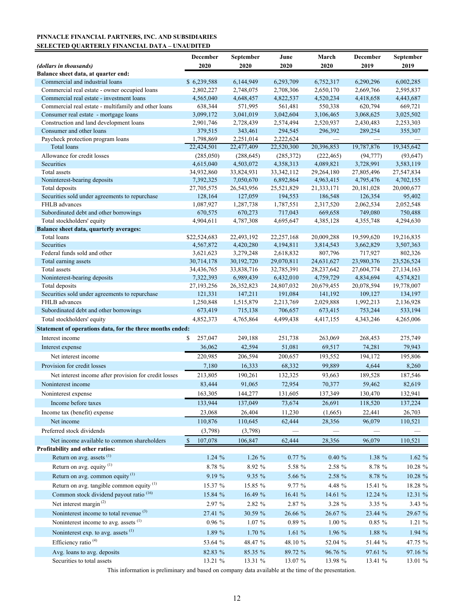#### **PINNACLE FINANCIAL PARTNERS, INC. AND SUBSIDIARIES SELECTED QUARTERLY FINANCIAL DATA – UNAUDITED**

|                                                                     | December                 | September            | June                 | March                | December             | September            |
|---------------------------------------------------------------------|--------------------------|----------------------|----------------------|----------------------|----------------------|----------------------|
| (dollars in thousands)                                              | 2020                     | 2020                 | 2020                 | 2020                 | 2019                 | 2019                 |
| Balance sheet data, at quarter end:                                 |                          |                      |                      |                      |                      |                      |
| Commercial and industrial loans                                     | \$6,239,588              | 6,144,949            | 6,293,709            | 6,752,317            | 6,290,296            | 6,002,285            |
| Commercial real estate - owner occupied loans                       | 2,802,227                | 2,748,075            | 2,708,306            | 2,650,170            | 2,669,766            | 2,595,837            |
| Commercial real estate - investment loans                           | 4,565,040                | 4,648,457            | 4,822,537            | 4,520,234            | 4,418,658            | 4,443,687            |
| Commercial real estate - multifamily and other loans                | 638,344                  | 571,995              | 561,481              | 550,338              | 620,794              | 669,721              |
| Consumer real estate - mortgage loans                               | 3,099,172                | 3,041,019            | 3,042,604            | 3,106,465            | 3,068,625            | 3,025,502            |
| Construction and land development loans<br>Consumer and other loans | 2,901,746<br>379,515     | 2,728,439<br>343,461 | 2,574,494<br>294,545 | 2,520,937<br>296,392 | 2,430,483<br>289,254 | 2,253,303<br>355,307 |
| Paycheck protection program loans                                   | 1,798,869                | 2,251,014            | 2,222,624            |                      |                      |                      |
| Total loans                                                         | 22,424,501               | 22,477,409           | 22,520,300           | 20,396,853           | 19,787,876           | 19,345,642           |
| Allowance for credit losses                                         | (285,050)                | (288, 645)           | (285,372)            | (222, 465)           | (94, 777)            | (93, 647)            |
| Securities                                                          | 4,615,040                | 4,503,072            | 4,358,313            | 4,089,821            | 3,728,991            | 3,583,119            |
| Total assets                                                        | 34,932,860               | 33,824,931           | 33, 342, 112         | 29,264,180           | 27,805,496           | 27,547,834           |
| Noninterest-bearing deposits                                        | 7,392,325                | 7,050,670            | 6,892,864            | 4,963,415            | 4,795,476            | 4,702,155            |
| Total deposits                                                      | 27,705,575               | 26,543,956           | 25,521,829           | 21,333,171           | 20,181,028           | 20,000,677           |
| Securities sold under agreements to repurchase                      | 128,164                  | 127,059              | 194,553              | 186,548              | 126,354              | 95,402               |
| FHLB advances                                                       | 1,087,927                | 1,287,738            | 1,787,551            | 2,317,520            | 2,062,534            | 2,052,548            |
| Subordinated debt and other borrowings                              | 670,575                  | 670,273              | 717,043              | 669,658              | 749,080              | 750,488              |
| Total stockholders' equity                                          | 4,904,611                | 4,787,308            | 4,695,647            | 4,385,128            | 4,355,748            | 4,294,630            |
| Balance sheet data, quarterly averages:                             |                          |                      |                      |                      |                      |                      |
| Total loans                                                         | \$22,524,683             | 22,493,192           | 22, 257, 168         | 20,009,288           | 19,599,620           | 19,216,835           |
| Securities                                                          | 4,567,872                | 4,420,280            | 4,194,811            | 3,814,543            | 3,662,829            | 3,507,363            |
| Federal funds sold and other                                        | 3,621,623                | 3,279,248            | 2,618,832            | 807,796              | 717,927              | 802,326              |
| Total earning assets                                                | 30,714,178               | 30, 192, 720         | 29,070,811           | 24,631,627           | 23,980,376           | 23,526,524           |
| Total assets                                                        | 34,436,765               | 33,838,716           | 32,785,391           | 28,237,642           | 27,604,774           | 27,134,163           |
| Noninterest-bearing deposits                                        | 7,322,393                | 6,989,439            | 6,432,010            | 4,759,729            | 4,834,694            | 4,574,821            |
| Total deposits                                                      | 27, 193, 256             | 26, 352, 823         | 24,807,032           | 20,679,455           | 20,078,594           | 19,778,007           |
| Securities sold under agreements to repurchase                      | 121,331                  | 147,211              | 191,084              | 141,192              | 109,127              | 134,197              |
| FHLB advances                                                       | 1,250,848                | 1,515,879            | 2,213,769            | 2,029,888            | 1,992,213            | 2,136,928            |
| Subordinated debt and other borrowings                              | 673,419                  | 715,138              | 706,657              | 673,415              | 753,244              | 533,194              |
| Total stockholders' equity                                          | 4,852,373                | 4,765,864            | 4,499,438            | 4,417,155            | 4, 343, 246          | 4,265,006            |
| Statement of operations data, for the three months ended:           |                          |                      |                      |                      |                      |                      |
| Interest income                                                     | 257,047<br>\$            | 249,188              | 251,738              | 263,069              | 268,453              | 275,749              |
| Interest expense                                                    | 36,062                   | 42,594               | 51,081               | 69,517               | 74,281               | 79,943               |
| Net interest income                                                 | 220,985                  | 206,594              | 200,657              | 193,552              | 194,172              | 195,806              |
| Provision for credit losses                                         | 7,180                    | 16,333               | 68,332               | 99,889               | 4,644                | 8,260                |
| Net interest income after provision for credit losses               | 213,805                  | 190,261              | 132,325              | 93,663               | 189,528              | 187,546              |
| Noninterest income                                                  | 83,444                   | 91,065               | 72,954               | 70,377               | 59,462               | 82,619               |
| Noninterest expense                                                 | 163,305                  | 144,277              | 131,605              | 137,349              | 130,470              | 132,941              |
| Income before taxes                                                 | 133,944                  | 137,049              | 73,674               | 26,691               | 118,520              | 137,224              |
| Income tax (benefit) expense                                        |                          |                      |                      |                      |                      |                      |
|                                                                     | 23,068                   | 26,404               | 11,230               | (1,665)              | 22,441               | 26,703               |
| Net income                                                          | 110,876                  | 110,645              | 62,444               | 28,356               | 96,079               | 110,521              |
| Preferred stock dividends                                           | (3,798)                  | (3,798)              |                      |                      |                      |                      |
| Net income available to common shareholders                         | 107,078<br><sup>\$</sup> | 106,847              | 62,444               | 28,356               | 96,079               | 110,521              |
| Profitability and other ratios:                                     |                          |                      |                      |                      |                      |                      |
| Return on avg. assets <sup>(1)</sup>                                | 1.24%                    | 1.26 %               | $0.77\%$             | 0.40%                | 1.38 %               | 1.62%                |
| Return on avg. equity <sup>(1)</sup>                                | 8.78 %                   | 8.92 %               | 5.58 %               | 2.58 %               | 8.78 %               | 10.28 %              |
| Return on avg. common equity $^{(1)}$                               | 9.19 %                   | 9.35 %               | 5.66 %               | 2.58 %               | 8.78 %               | 10.28 %              |
| Return on avg. tangible common equity <sup>(1)</sup>                | 15.37 %                  | 15.85 %              | 9.77 %               | 4.48 %               | 15.41 %              | 18.28 %              |
| Common stock dividend payout ratio <sup>(16)</sup>                  | 15.84 %                  | 16.49 %              | 16.41 %              | 14.61 %              | 12.24 %              | 12.31 %              |
| Net interest margin $^{(2)}$                                        | 2.97 %                   | 2.82 %               | 2.87 %               | 3.28 %               | 3.35 %               | 3.43 %               |
| Noninterest income to total revenue <sup>(3)</sup>                  | 27.41 %                  | 30.59 %              | 26.66 %              | 26.67 %              | 23.44 %              | 29.67 %              |
| Noninterest income to avg. assets $(1)$                             |                          |                      |                      |                      |                      |                      |
|                                                                     | 0.96%                    | $1.07\%$             | $0.89\ \%$           | $1.00 \%$            | 0.85 %               | 1.21 %               |
| Noninterest exp. to avg. assets (1)                                 | 1.89 %                   | 1.70 %               | 1.61%                | 1.96 %               | 1.88 %               | 1.94 %               |
| Efficiency ratio <sup>(4)</sup>                                     | 53.64 %                  | 48.47 %              | 48.10 %              | 52.04 %              | 51.44 %              | 47.75 %              |
| Avg. loans to avg. deposits                                         | 82.83 %                  | 85.35 %              | 89.72 %              | 96.76 %              | 97.61 %              | 97.16 %              |
| Securities to total assets                                          | 13.21 %                  | 13.31 %              | 13.07 %              | 13.98 %              | 13.41 %              | 13.01 %              |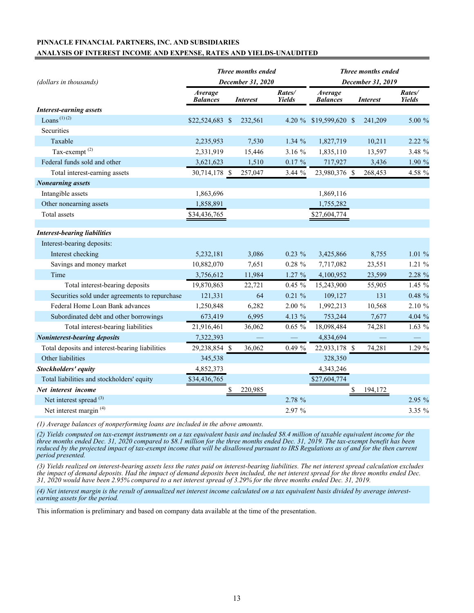## **PINNACLE FINANCIAL PARTNERS, INC. AND SUBSIDIARIES ANALYSIS OF INTEREST INCOME AND EXPENSE, RATES AND YIELDS-UNAUDITED**

| (dollars in thousands)                          |                            | Three months ended<br>December 31, 2020 |                 | <b>Three months ended</b><br>December 31, 2019 |                                   |    |                 |                         |  |
|-------------------------------------------------|----------------------------|-----------------------------------------|-----------------|------------------------------------------------|-----------------------------------|----|-----------------|-------------------------|--|
|                                                 | Average<br><b>Balances</b> |                                         | <b>Interest</b> | Rates/<br><b>Yields</b>                        | <b>Average</b><br><b>Balances</b> |    | <b>Interest</b> | Rates/<br><b>Yields</b> |  |
| <b>Interest-earning assets</b>                  |                            |                                         |                 |                                                |                                   |    |                 |                         |  |
| Loans <sup><math>(1)(2)</math></sup>            | \$22,524,683 \$            |                                         | 232,561         |                                                | 4.20 % \$19,599,620 \$            |    | 241,209         | 5.00 %                  |  |
| Securities                                      |                            |                                         |                 |                                                |                                   |    |                 |                         |  |
| Taxable                                         | 2,235,953                  |                                         | 7,530           | $1.34\%$                                       | 1,827,719                         |    | 10,211          | 2.22 %                  |  |
| Tax-exempt <sup>(2)</sup>                       | 2,331,919                  |                                         | 15,446          | 3.16 %                                         | 1,835,110                         |    | 13,597          | 3.48 %                  |  |
| Federal funds sold and other                    | 3,621,623                  |                                         | 1,510           | $0.17~\%$                                      | 717,927                           |    | 3,436           | 1.90 %                  |  |
| Total interest-earning assets                   | 30,714,178 \$              |                                         | 257,047         | 3.44%                                          | 23,980,376 \$                     |    | 268,453         | 4.58 %                  |  |
| <b>Nonearning</b> assets                        |                            |                                         |                 |                                                |                                   |    |                 |                         |  |
| Intangible assets                               | 1,863,696                  |                                         |                 |                                                | 1,869,116                         |    |                 |                         |  |
| Other nonearning assets                         | 1,858,891                  |                                         |                 |                                                | 1,755,282                         |    |                 |                         |  |
| <b>Total</b> assets                             | \$34,436,765               |                                         |                 |                                                | \$27,604,774                      |    |                 |                         |  |
| <b>Interest-bearing liabilities</b>             |                            |                                         |                 |                                                |                                   |    |                 |                         |  |
| Interest-bearing deposits:                      |                            |                                         |                 |                                                |                                   |    |                 |                         |  |
| Interest checking                               | 5,232,181                  |                                         | 3,086           | $0.23 \%$                                      | 3,425,866                         |    | 8,755           | 1.01%                   |  |
| Savings and money market                        | 10,882,070                 |                                         | 7,651           | $0.28 \%$                                      | 7,717,082                         |    | 23,551          | 1.21 %                  |  |
| Time                                            | 3,756,612                  |                                         | 11,984          | 1.27 %                                         | 4,100,952                         |    | 23,599          | 2.28 %                  |  |
| Total interest-bearing deposits                 | 19,870,863                 |                                         | 22,721          | $0.45 \%$                                      | 15,243,900                        |    | 55,905          | 1.45 %                  |  |
| Securities sold under agreements to repurchase  | 121,331                    |                                         | 64              | $0.21 \%$                                      | 109,127                           |    | 131             | $0.48 \%$               |  |
| Federal Home Loan Bank advances                 | 1,250,848                  |                                         | 6,282           | $2.00 \%$                                      | 1,992,213                         |    | 10,568          | 2.10 %                  |  |
| Subordinated debt and other borrowings          | 673,419                    |                                         | 6,995           | 4.13 %                                         | 753,244                           |    | 7,677           | 4.04 %                  |  |
| Total interest-bearing liabilities              | 21,916,461                 |                                         | 36,062          | $0.65 \%$                                      | 18,098,484                        |    | 74,281          | 1.63%                   |  |
| <b>Noninterest-bearing deposits</b>             | 7,322,393                  |                                         |                 |                                                | 4,834,694                         |    |                 |                         |  |
| Total deposits and interest-bearing liabilities | 29,238,854 \$              |                                         | 36,062          | $0.49 \%$                                      | 22,933,178 \$                     |    | 74,281          | 1.29 %                  |  |
| Other liabilities                               | 345,538                    |                                         |                 |                                                | 328,350                           |    |                 |                         |  |
| Stockholders' equity                            | 4,852,373                  |                                         |                 |                                                | 4,343,246                         |    |                 |                         |  |
| Total liabilities and stockholders' equity      | \$34,436,765               |                                         |                 |                                                | \$27,604,774                      |    |                 |                         |  |
| Net interest income                             |                            | $\frac{1}{2}$                           | 220,985         |                                                |                                   | \$ | 194,172         |                         |  |
| Net interest spread <sup>(3)</sup>              |                            |                                         |                 | 2.78 %                                         |                                   |    |                 | 2.95 %                  |  |
| Net interest margin <sup>(4)</sup>              |                            |                                         |                 | 2.97 %                                         |                                   |    |                 | 3.35 %                  |  |

*(1) Average balances of nonperforming loans are included in the above amounts.*

*(2) Yields computed on tax-exempt instruments on a tax equivalent basis and included \$8.4 million of taxable equivalent income for the three months ended Dec. 31, 2020 compared to \$8.1 million for the three months ended Dec. 31, 2019. The tax-exempt benefit has been reduced by the projected impact of tax-exempt income that will be disallowed pursuant to IRS Regulations as of and for the then current period presented.*

*(3) Yields realized on interest-bearing assets less the rates paid on interest-bearing liabilities. The net interest spread calculation excludes the impact of demand deposits. Had the impact of demand deposits been included, the net interest spread for the three months ended Dec. 31, 2020 would have been 2.95% compared to a net interest spread of 3.29% for the three months ended Dec. 31, 2019.*

*(4) Net interest margin is the result of annualized net interest income calculated on a tax equivalent basis divided by average interestearning assets for the period.*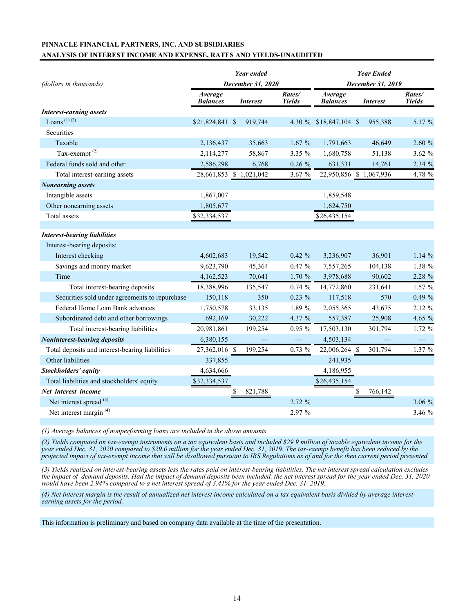## **PINNACLE FINANCIAL PARTNERS, INC. AND SUBSIDIARIES ANALYSIS OF INTEREST INCOME AND EXPENSE, RATES AND YIELDS-UNAUDITED**

|                                                 |                            | Year ended              |                         | <b>Year Ended</b>          |                         |                         |  |  |  |
|-------------------------------------------------|----------------------------|-------------------------|-------------------------|----------------------------|-------------------------|-------------------------|--|--|--|
| (dollars in thousands)                          |                            | December 31, 2020       |                         | December 31, 2019          |                         |                         |  |  |  |
|                                                 | Average<br><b>Balances</b> | <i>Interest</i>         | Rates/<br><b>Yields</b> | Average<br><b>Balances</b> | <i>Interest</i>         | Rates/<br><b>Yields</b> |  |  |  |
| <b>Interest-earning assets</b>                  |                            |                         |                         |                            |                         |                         |  |  |  |
| Loans $(1)(2)$                                  | \$21,824,841 \$            | 919,744                 |                         | 4.30 % \$18,847,104 \$     | 955,388                 | 5.17 %                  |  |  |  |
| Securities                                      |                            |                         |                         |                            |                         |                         |  |  |  |
| Taxable                                         | 2,136,437                  | 35,663                  | 1.67%                   | 1,791,663                  | 46,649                  | 2.60 %                  |  |  |  |
| Tax-exempt <sup>(2)</sup>                       | 2,114,277                  | 58,867                  | 3.35 %                  | 1,680,758                  | 51,138                  | 3.62%                   |  |  |  |
| Federal funds sold and other                    | 2,586,298                  | 6,768                   | $0.26 \%$               | 631,331                    | 14,761                  | 2.34 %                  |  |  |  |
| Total interest-earning assets                   |                            | 28,661,853 \$ 1,021,042 | 3.67 %                  |                            | 22,950,856 \$ 1,067,936 | 4.78 %                  |  |  |  |
| <b>Nonearning</b> assets                        |                            |                         |                         |                            |                         |                         |  |  |  |
| Intangible assets                               | 1,867,007                  |                         |                         | 1,859,548                  |                         |                         |  |  |  |
| Other nonearning assets                         | 1,805,677                  |                         |                         | 1,624,750                  |                         |                         |  |  |  |
| Total assets                                    | \$32,334,537               |                         |                         | \$26,435,154               |                         |                         |  |  |  |
| <b>Interest-bearing liabilities</b>             |                            |                         |                         |                            |                         |                         |  |  |  |
| Interest-bearing deposits:                      |                            |                         |                         |                            |                         |                         |  |  |  |
| Interest checking                               | 4,602,683                  | 19,542                  | $0.42 \%$               | 3,236,907                  | 36,901                  | 1.14%                   |  |  |  |
| Savings and money market                        | 9,623,790                  | 45,364                  | $0.47~\%$               | 7,557,265                  | 104,138                 | 1.38 %                  |  |  |  |
| Time                                            | 4,162,523                  | 70,641                  | 1.70 %                  | 3,978,688                  | 90,602                  | 2.28 %                  |  |  |  |
| Total interest-bearing deposits                 | 18,388,996                 | 135,547                 | 0.74%                   | 14,772,860                 | 231,641                 | 1.57 %                  |  |  |  |
| Securities sold under agreements to repurchase  | 150,118                    | 350                     | $0.23 \%$               | 117,518                    | 570                     | 0.49%                   |  |  |  |
| Federal Home Loan Bank advances                 | 1,750,578                  | 33,135                  | 1.89 %                  | 2,055,365                  | 43,675                  | 2.12 %                  |  |  |  |
| Subordinated debt and other borrowings          | 692,169                    | 30,222                  | 4.37 %                  | 557,387                    | 25,908                  | 4.65 %                  |  |  |  |
| Total interest-bearing liabilities              | 20,981,861                 | 199,254                 | 0.95%                   | 17,503,130                 | 301,794                 | 1.72 %                  |  |  |  |
| <b>Noninterest-bearing deposits</b>             | 6,380,155                  |                         |                         | 4,503,134                  |                         |                         |  |  |  |
| Total deposits and interest-bearing liabilities | 27,362,016 \$              | 199,254                 | $0.73 \%$               | 22,006,264 \$              | 301,794                 | 1.37 %                  |  |  |  |
| Other liabilities                               | 337,855                    |                         |                         | 241,935                    |                         |                         |  |  |  |
| Stockholders' equity                            | 4,634,666                  |                         |                         | 4,186,955                  |                         |                         |  |  |  |
| Total liabilities and stockholders' equity      | \$32,334,537               |                         |                         | \$26,435,154               |                         |                         |  |  |  |
| Net interest income                             |                            | \$<br>821,788           |                         |                            | 766,142<br>\$           |                         |  |  |  |
| Net interest spread (3)                         |                            |                         | 2.72%                   |                            |                         | 3.06 %                  |  |  |  |
| Net interest margin <sup>(4)</sup>              |                            |                         | 2.97 %                  |                            |                         | 3.46 %                  |  |  |  |
|                                                 |                            |                         |                         |                            |                         |                         |  |  |  |

*(1) Average balances of nonperforming loans are included in the above amounts.* 

*(2) Yields computed on tax-exempt instruments on a tax equivalent basis and included \$29.9 million of taxable equivalent income for the year ended Dec. 31, 2020 compared to \$29.0 million for the year ended Dec. 31, 2019. The tax-exempt benefit has been reduced by the projected impact of tax-exempt income that will be disallowed pursuant to IRS Regulations as of and for the then current period presented.*

*(3) Yields realized on interest-bearing assets less the rates paid on interest-bearing liabilities. The net interest spread calculation excludes the impact of demand deposits. Had the impact of demand deposits been included, the net interest spread for the year ended Dec. 31, 2020 would have been 2.94% compared to a net interest spread of 3.41% for the year ended Dec. 31, 2019.*

*(4) Net interest margin is the result of annualized net interest income calculated on a tax equivalent basis divided by average interestearning assets for the period.*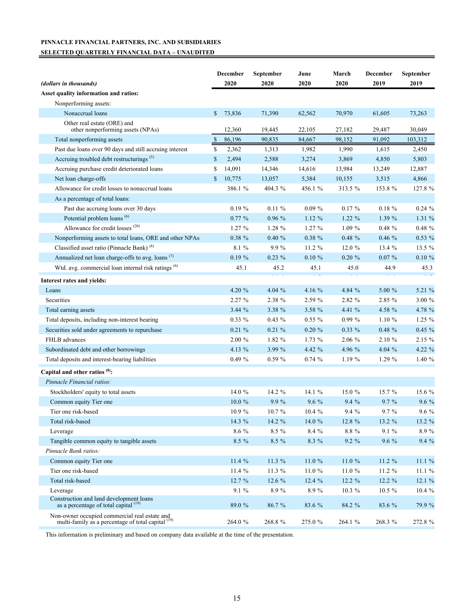## **PINNACLE FINANCIAL PARTNERS, INC. AND SUBSIDIARIES SELECTED QUARTERLY FINANCIAL DATA – UNAUDITED**

| (dollars in thousands)                                                                                         | December<br>2020 | September<br>2020 | June<br>2020 | March<br>2020 | December<br>2019 | September<br>2019 |
|----------------------------------------------------------------------------------------------------------------|------------------|-------------------|--------------|---------------|------------------|-------------------|
| Asset quality information and ratios:                                                                          |                  |                   |              |               |                  |                   |
| Nonperforming assets:                                                                                          |                  |                   |              |               |                  |                   |
| Nonaccrual loans                                                                                               | \$<br>73,836     | 71,390            | 62,562       | 70,970        | 61,605           | 73,263            |
| Other real estate (ORE) and<br>other nonperforming assets (NPAs)                                               | 12,360           | 19,445            | 22,105       | 27,182        | 29,487           | 30,049            |
| Total nonperforming assets                                                                                     | \$<br>86,196     | 90,835            | 84,667       | 98,152        | 91,092           | 103,312           |
| Past due loans over 90 days and still accruing interest                                                        | \$<br>2,362      | 1,313             | 1,982        | 1,990         | 1,615            | 2,450             |
| Accruing troubled debt restructurings <sup>(5)</sup>                                                           | \$<br>2,494      | 2,588             | 3,274        | 3,869         | 4,850            | 5,803             |
| Accruing purchase credit deteriorated loans                                                                    | \$<br>14,091     | 14,346            | 14,616       | 13,984        | 13,249           | 12,887            |
| Net loan charge-offs                                                                                           | \$<br>10,775     | 13,057            | 5,384        | 10,155        | 3,515            | 4,866             |
| Allowance for credit losses to nonaccrual loans                                                                | 386.1 %          | 404.3 %           | 456.1 %      | 313.5 %       | 153.8%           | 127.8 %           |
| As a percentage of total loans:                                                                                |                  |                   |              |               |                  |                   |
| Past due accruing loans over 30 days                                                                           | $0.19 \%$        | $0.11 \%$         | $0.09 \%$    | $0.17 \%$     | $0.18 \%$        | 0.24%             |
| Potential problem loans <sup>(6)</sup>                                                                         | 0.77%            | 0.96%             | 1.12%        | 1.22%         | 1.39 %           | 1.31 %            |
| Allowance for credit losses <sup>(20)</sup>                                                                    | 1.27 %           | 1.28 %            | 1.27%        | 1.09 %        | $0.48 \%$        | $0.48 \%$         |
| Nonperforming assets to total loans, ORE and other NPAs                                                        | $0.38 \%$        | 0.40%             | $0.38 \%$    | $0.48 \%$     | 0.46%            | 0.53%             |
| Classified asset ratio (Pinnacle Bank) <sup>(8)</sup>                                                          | 8.1 %            | 9.9%              | 11.2 %       | 12.0 %        | 13.4 %           | 13.5 %            |
| Annualized net loan charge-offs to avg. loans <sup>(7)</sup>                                                   | 0.19%            | $0.23 \%$         | $0.10 \%$    | $0.20 \%$     | $0.07\%$         | $0.10 \%$         |
| Wtd. avg. commercial loan internal risk ratings <sup>(6)</sup>                                                 | 45.1             | 45.2              | 45.1         | 45.0          | 44.9             | 45.3              |
| Interest rates and yields:                                                                                     |                  |                   |              |               |                  |                   |
| Loans                                                                                                          | 4.20 %           | $4.04\%$          | 4.16 %       | 4.84 %        | 5.00 %           | 5.21 %            |
| Securities                                                                                                     | 2.27 %           | 2.38 %            | 2.59 %       | 2.82 %        | 2.85 %           | 3.00 %            |
| Total earning assets                                                                                           | 3.44 %           | 3.38 %            | 3.58 %       | 4.41 %        | 4.58 %           | 4.78 %            |
| Total deposits, including non-interest bearing                                                                 | 0.33 %           | $0.43\%$          | $0.55\%$     | 0.99%         | $1.10 \%$        | $1.25 \%$         |
| Securities sold under agreements to repurchase                                                                 | 0.21%            | 0.21%             | $0.20 \%$    | $0.33\%$      | $0.48 \%$        | 0.45%             |
| FHLB advances                                                                                                  | 2.00 %           | 1.82 %            | 1.73 %       | 2.06 %        | 2.10 %           | 2.15 %            |
| Subordinated debt and other borrowings                                                                         | 4.13 %           | 3.99 %            | 4.42 %       | 4.96 %        | 4.04 $%$         | 4.22 %            |
| Total deposits and interest-bearing liabilities                                                                | $0.49 \%$        | 0.59%             | 0.74%        | 1.19%         | $1.29\%$         | 1.40 %            |
| Capital and other ratios <sup>(8)</sup> :                                                                      |                  |                   |              |               |                  |                   |
| Pinnacle Financial ratios:                                                                                     |                  |                   |              |               |                  |                   |
| Stockholders' equity to total assets                                                                           | 14.0 %           | 14.2 %            | 14.1 %       | 15.0 %        | 15.7%            | 15.6 %            |
| Common equity Tier one                                                                                         | $10.0 \%$        | 9.9%              | $9.6\%$      | 9.4%          | 9.7 %            | 9.6 %             |
| Tier one risk-based                                                                                            | 10.9%            | $10.7~\%$         | $10.4 \%$    | $9.4\%$       | 9.7 %            | $9.6\ \%$         |
| Total risk-based                                                                                               | 14.3 $%$         | $14.2 \%$         | 14.0 $%$     | 12.8 %        | $13.2 \%$        | 13.2 %            |
| Leverage                                                                                                       | 8.6 %            | 8.5 %             | 8.4 %        | $8.8\%$       | 9.1%             | 8.9%              |
| Tangible common equity to tangible assets                                                                      | 8.5 %            | $8.5\%$           | 8.3 %        | $9.2\%$       | $9.6 \%$         | 9.4%              |
| Pinnacle Bank ratios:                                                                                          |                  |                   |              |               |                  |                   |
| Common equity Tier one                                                                                         | 11.4 %           | $11.3\%$          | 11.0 %       | 11.0%         | $11.2 \%$        | 11.1%             |
| Tier one risk-based                                                                                            | 11.4 %           | 11.3 %            | 11.0 %       | 11.0 %        | 11.2 %           | 11.1 %            |
| Total risk-based                                                                                               | 12.7 %           | 12.6%             | 12.4%        | 12.2 %        | $12.2 \%$        | 12.1 %            |
| Leverage                                                                                                       | 9.1 %            | 8.9%              | 8.9%         | $10.3 \%$     | $10.5 \%$        | 10.4 %            |
| Construction and land development loans<br>as a percentage of total capital $(19)$                             | 89.0 %           | 86.7 %            | 83.6 %       | 84.2 %        | 83.6 %           | 79.9 %            |
| Non-owner occupied commercial real estate and<br>multi-family as a percentage of total capital <sup>(19)</sup> | 264.0 %          | 268.8%            | 275.0 %      | 264.1 %       | 268.3 %          | 272.8 %           |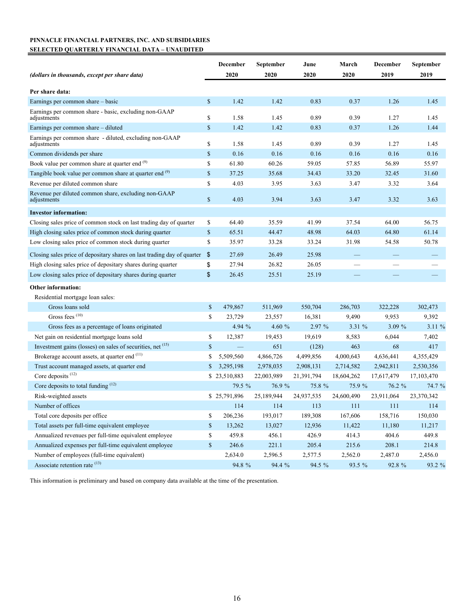## **PINNACLE FINANCIAL PARTNERS, INC. AND SUBSIDIARIES SELECTED QUARTERLY FINANCIAL DATA – UNAUDITED**

| (dollars in thousands, except per share data)                           |              | December<br>2020 | September<br>2020 | June<br>2020 | March<br>2020 | December<br>2019 | September<br>2019 |
|-------------------------------------------------------------------------|--------------|------------------|-------------------|--------------|---------------|------------------|-------------------|
|                                                                         |              |                  |                   |              |               |                  |                   |
| Per share data:                                                         |              |                  |                   |              |               |                  |                   |
| Earnings per common share – basic                                       | \$           | 1.42             | 1.42              | 0.83         | 0.37          | 1.26             | 1.45              |
| Earnings per common share - basic, excluding non-GAAP<br>adjustments    | \$           | 1.58             | 1.45              | 0.89         | 0.39          | 1.27             | 1.45              |
| Earnings per common share - diluted                                     | \$           | 1.42             | 1.42              | 0.83         | 0.37          | 1.26             | 1.44              |
| Earnings per common share - diluted, excluding non-GAAP<br>adjustments  | \$           | 1.58             | 1.45              | 0.89         | 0.39          | 1.27             | 1.45              |
| Common dividends per share                                              | $\mathbb{S}$ | 0.16             | 0.16              | 0.16         | 0.16          | 0.16             | 0.16              |
| Book value per common share at quarter end (9)                          | \$           | 61.80            | 60.26             | 59.05        | 57.85         | 56.89            | 55.97             |
| Tangible book value per common share at quarter end (9)                 | \$           | 37.25            | 35.68             | 34.43        | 33.20         | 32.45            | 31.60             |
| Revenue per diluted common share                                        | \$           | 4.03             | 3.95              | 3.63         | 3.47          | 3.32             | 3.64              |
| Revenue per diluted common share, excluding non-GAAP<br>adjustments     | $\mathbb{S}$ | 4.03             | 3.94              | 3.63         | 3.47          | 3.32             | 3.63              |
| <b>Investor information:</b>                                            |              |                  |                   |              |               |                  |                   |
| Closing sales price of common stock on last trading day of quarter      | \$           | 64.40            | 35.59             | 41.99        | 37.54         | 64.00            | 56.75             |
| High closing sales price of common stock during quarter                 | \$           | 65.51            | 44.47             | 48.98        | 64.03         | 64.80            | 61.14             |
| Low closing sales price of common stock during quarter                  | \$           | 35.97            | 33.28             | 33.24        | 31.98         | 54.58            | 50.78             |
| Closing sales price of depositary shares on last trading day of quarter | \$           | 27.69            | 26.49             | 25.98        |               |                  |                   |
| High closing sales price of depositary shares during quarter            | \$           | 27.94            | 26.82             | 26.05        |               |                  |                   |
| Low closing sales price of depositary shares during quarter             | \$           | 26.45            | 25.51             | 25.19        |               |                  |                   |
| <b>Other information:</b>                                               |              |                  |                   |              |               |                  |                   |
| Residential mortgage loan sales:                                        |              |                  |                   |              |               |                  |                   |
| Gross loans sold                                                        | \$           | 479,867          | 511,969           | 550,704      | 286,703       | 322,228          | 302,473           |
| Gross fees <sup>(10)</sup>                                              | \$           | 23,729           | 23,557            | 16,381       | 9,490         | 9,953            | 9,392             |
| Gross fees as a percentage of loans originated                          |              | 4.94 $%$         | 4.60 $%$          | 2.97 %       | 3.31%         | $3.09\%$         | 3.11%             |
| Net gain on residential mortgage loans sold                             | \$           | 12,387           | 19,453            | 19,619       | 8,583         | 6,044            | 7,402             |
| Investment gains (losses) on sales of securities, net (15)              | \$           |                  | 651               | (128)        | 463           | 68               | 417               |
| Brokerage account assets, at quarter end (11)                           | \$           | 5,509,560        | 4,866,726         | 4,499,856    | 4,000,643     | 4,636,441        | 4,355,429         |
| Trust account managed assets, at quarter end                            | \$           | 3,295,198        | 2,978,035         | 2,908,131    | 2,714,582     | 2,942,811        | 2,530,356         |
| Core deposits <sup>(12)</sup>                                           |              | \$23,510,883     | 22,003,989        | 21,391,794   | 18,604,262    | 17,617,479       | 17, 103, 470      |
| Core deposits to total funding (12)                                     |              | 79.5 %           | 76.9 %            | 75.8 %       | 75.9 %        | 76.2 %           | 74.7 %            |
| Risk-weighted assets                                                    |              | \$25,791,896     | 25,189,944        | 24,937,535   | 24,600,490    | 23,911,064       | 23,370,342        |
| Number of offices                                                       |              | 114              | 114               | $\sim$ 113   | $\sim$ 111    | $\sim$ 111       | 114               |
| Total core deposits per office                                          | \$           | 206,236          | 193,017           | 189,308      | 167,606       | 158,716          | 150,030           |
| Total assets per full-time equivalent employee                          | $\mathbb{S}$ | 13,262           | 13,027            | 12,936       | 11,422        | 11,180           | 11,217            |
| Annualized revenues per full-time equivalent employee                   | \$           | 459.8            | 456.1             | 426.9        | 414.3         | 404.6            | 449.8             |
| Annualized expenses per full-time equivalent employee                   | \$           | 246.6            | 221.1             | 205.4        | 215.6         | 208.1            | 214.8             |
| Number of employees (full-time equivalent)                              |              | 2,634.0          | 2,596.5           | 2,577.5      | 2,562.0       | 2,487.0          | 2,456.0           |
| Associate retention rate (13)                                           |              | 94.8 %           | 94.4 %            | 94.5 %       | 93.5 %        | 92.8 %           | 93.2 %            |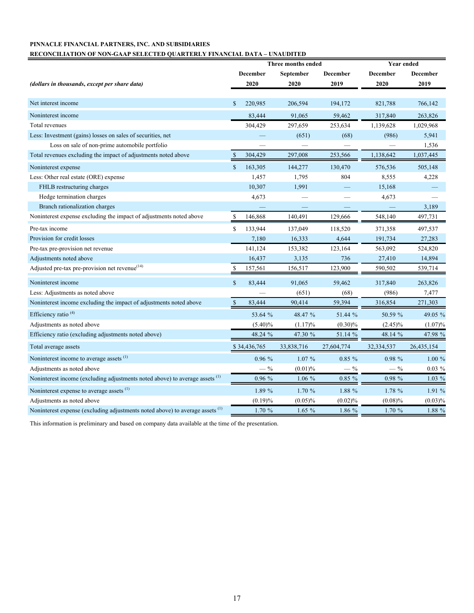# **PINNACLE FINANCIAL PARTNERS, INC. AND SUBSIDIARIES**

#### **RECONCILIATION OF NON-GAAP SELECTED QUARTERLY FINANCIAL DATA – UNAUDITED**

|                                                                                         |              |              | Three months ended |            | <b>Year ended</b> |            |  |
|-----------------------------------------------------------------------------------------|--------------|--------------|--------------------|------------|-------------------|------------|--|
|                                                                                         |              | December     | September          | December   | December          | December   |  |
| (dollars in thousands, except per share data)                                           |              | 2020         | 2020               | 2019       | 2020              | 2019       |  |
|                                                                                         |              |              |                    |            |                   |            |  |
| Net interest income                                                                     | \$           | 220,985      | 206,594            | 194,172    | 821,788           | 766,142    |  |
| Noninterest income                                                                      |              | 83,444       | 91,065             | 59,462     | 317,840           | 263,826    |  |
| Total revenues                                                                          |              | 304,429      | 297,659            | 253,634    | 1,139,628         | 1,029,968  |  |
| Less: Investment (gains) losses on sales of securities, net                             |              |              | (651)              | (68)       | (986)             | 5,941      |  |
| Loss on sale of non-prime automobile portfolio                                          |              |              |                    |            | $\qquad \qquad -$ | 1,536      |  |
| Total revenues excluding the impact of adjustments noted above                          | $\mathbb{S}$ | 304,429      | 297,008            | 253,566    | 1,138,642         | 1,037,445  |  |
| Noninterest expense                                                                     | $\mathbf S$  | 163,305      | 144,277            | 130,470    | 576,536           | 505,148    |  |
| Less: Other real estate (ORE) expense                                                   |              | 1,457        | 1,795              | 804        | 8,555             | 4,228      |  |
| FHLB restructuring charges                                                              |              | 10,307       | 1,991              |            | 15,168            |            |  |
| Hedge termination charges                                                               |              | 4,673        |                    |            | 4,673             |            |  |
| Branch rationalization charges                                                          |              |              | -                  |            |                   | 3,189      |  |
| Noninterest expense excluding the impact of adjustments noted above                     | \$           | 146,868      | 140,491            | 129,666    | 548,140           | 497,731    |  |
| Pre-tax income                                                                          | $\mathbf S$  | 133,944      | 137,049            | 118,520    | 371,358           | 497,537    |  |
| Provision for credit losses                                                             |              | 7,180        | 16,333             | 4,644      | 191,734           | 27,283     |  |
| Pre-tax pre-provision net revenue                                                       |              | 141,124      | 153,382            | 123,164    | 563,092           | 524,820    |  |
| Adjustments noted above                                                                 |              | 16,437       | 3,135              | 736        | 27,410            | 14,894     |  |
| Adjusted pre-tax pre-provision net revenue <sup>(14)</sup>                              | \$           | 157,561      | 156,517            | 123,900    | 590,502           | 539,714    |  |
| Noninterest income                                                                      | $\mathbf S$  | 83,444       | 91,065             | 59,462     | 317,840           | 263,826    |  |
| Less: Adjustments as noted above                                                        |              |              | (651)              | (68)       | (986)             | 7,477      |  |
| Noninterest income excluding the impact of adjustments noted above                      | $\mathbb{S}$ | 83,444       | 90,414             | 59,394     | 316,854           | 271,303    |  |
| Efficiency ratio <sup>(4)</sup>                                                         |              | 53.64 %      | 48.47 %            | 51.44 %    | 50.59 %           | 49.05 %    |  |
| Adjustments as noted above                                                              |              | $(5.40)\%$   | (1.17)%            | $(0.30)\%$ | $(2.45)\%$        | $(1.07)\%$ |  |
| Efficiency ratio (excluding adjustments noted above)                                    |              | 48.24 %      | 47.30 %            | 51.14 %    | 48.14 %           | 47.98 %    |  |
| Total average assets                                                                    |              | \$34,436,765 | 33,838,716         | 27,604,774 | 32,334,537        | 26,435,154 |  |
| Noninterest income to average assets <sup>(1)</sup>                                     |              | 0.96%        | $1.07\%$           | $0.85 \%$  | 0.98%             | $1.00\%$   |  |
| Adjustments as noted above                                                              |              | $-$ %        | (0.01)%            | $-$ %      | $-$ %             | $0.03 \%$  |  |
| Noninterest income (excluding adjustments noted above) to average assets <sup>(1)</sup> |              | 0.96%        | $1.06\%$           | $0.85 \%$  | 0.98 %            | 1.03 %     |  |
| Noninterest expense to average assets <sup>(1)</sup>                                    |              | 1.89 %       | 1.70%              | 1.88 %     | 1.78 %            | 1.91 %     |  |
| Adjustments as noted above                                                              |              | (0.19)%      | $(0.05)\%$         | (0.02)%    | (0.08)%           | $(0.03)\%$ |  |
| Noninterest expense (excluding adjustments noted above) to average assets (1)           |              | 1.70 %       | 1.65%              | 1.86 %     | 1.70%             | 1.88 %     |  |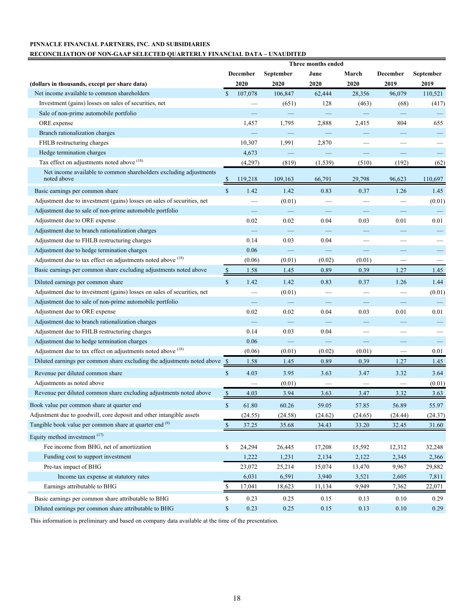## **PINNACLE FINANCIAL PARTNERS, INC. AND SUBSIDIARIES**

#### **RECONCILIATION OF NON-GAAP SELECTED QUARTERLY FINANCIAL DATA – UNAUDITED**

|                                                                                  | Three months ended |                   |           |                          |         |                          |                          |
|----------------------------------------------------------------------------------|--------------------|-------------------|-----------|--------------------------|---------|--------------------------|--------------------------|
|                                                                                  |                    | <b>December</b>   | September | June                     | March   | <b>December</b>          | September                |
| (dollars in thousands, except per share data)                                    |                    | 2020              | 2020      | 2020                     | 2020    | 2019                     | 2019                     |
| Net income available to common shareholders                                      | $\mathbf S$        | 107,078           | 106,847   | 62,444                   | 28,356  | 96,079                   | 110,521                  |
| Investment (gains) losses on sales of securities, net                            |                    |                   | (651)     | 128                      | (463)   | (68)                     | (417)                    |
| Sale of non-prime automobile portfolio                                           |                    |                   |           |                          |         |                          |                          |
| ORE expense                                                                      |                    | 1,457             | 1,795     | 2,888                    | 2,415   | 804                      | 655                      |
| Branch rationalization charges                                                   |                    |                   |           |                          |         |                          |                          |
| FHLB restructuring charges                                                       |                    | 10,307            | 1,991     | 2,870                    |         |                          |                          |
| Hedge termination charges                                                        |                    | 4,673             |           |                          |         |                          | $\overline{\phantom{0}}$ |
| Tax effect on adjustments noted above (18)                                       |                    | (4,297)           | (819)     | (1, 539)                 | (510)   | (192)                    | (62)                     |
| Net income available to common shareholders excluding adjustments<br>noted above | \$                 | 119,218           | 109,163   | 66,791                   | 29,798  | 96,623                   | 110,697                  |
| Basic earnings per common share                                                  | $\mathbb{S}$       | 1.42              | 1.42      | 0.83                     | 0.37    | 1.26                     | 1.45                     |
| Adjustment due to investment (gains) losses on sales of securities, net          |                    |                   | (0.01)    |                          |         | $\overline{\phantom{0}}$ | (0.01)                   |
| Adjustment due to sale of non-prime automobile portfolio                         |                    |                   |           |                          |         |                          |                          |
| Adjustment due to ORE expense                                                    |                    | 0.02              | 0.02      | 0.04                     | 0.03    | 0.01                     | 0.01                     |
| Adjustment due to branch rationalization charges                                 |                    |                   |           |                          |         |                          |                          |
| Adjustment due to FHLB restructuring charges                                     |                    | 0.14              | 0.03      | 0.04                     |         |                          |                          |
| Adjustment due to hedge termination charges                                      |                    | 0.06              |           |                          | -       |                          | -                        |
| Adjustment due to tax effect on adjustments noted above (18)                     |                    | (0.06)            | (0.01)    | (0.02)                   | (0.01)  | -                        |                          |
| Basic earnings per common share excluding adjustments noted above                | $\mathbb{S}$       | 1.58              | 1.45      | 0.89                     | 0.39    | 1.27                     | 1.45                     |
| Diluted earnings per common share                                                | $\mathbb S$        | 1.42              | 1.42      | 0.83                     | 0.37    | 1.26                     | 1.44                     |
| Adjustment due to investment (gains) losses on sales of securities, net          |                    |                   | (0.01)    |                          |         |                          | (0.01)                   |
| Adjustment due to sale of non-prime automobile portfolio                         |                    |                   |           | $\overline{\phantom{a}}$ |         |                          |                          |
| Adjustment due to ORE expense                                                    |                    | 0.02              | 0.02      | 0.04                     | 0.03    | 0.01                     | 0.01                     |
| Adjustment due to branch rationalization charges                                 |                    | $\qquad \qquad -$ |           | $\overline{\phantom{0}}$ |         |                          |                          |
| Adjustment due to FHLB restructuring charges                                     |                    | 0.14              | 0.03      | 0.04                     |         |                          |                          |
| Adjustment due to hedge termination charges                                      |                    | 0.06              |           |                          |         |                          |                          |
| Adjustment due to tax effect on adjustments noted above (18)                     |                    | (0.06)            | (0.01)    | (0.02)                   | (0.01)  | $\overline{\phantom{a}}$ | 0.01                     |
| Diluted earnings per common share excluding the adjustments noted above \$       |                    | 1.58              | 1.45      | 0.89                     | 0.39    | 1.27                     | 1.45                     |
| Revenue per diluted common share                                                 | $\mathbb{S}$       | 4.03              | 3.95      | 3.63                     | 3.47    | 3.32                     | 3.64                     |
| Adjustments as noted above                                                       |                    |                   | (0.01)    |                          |         |                          | (0.01)                   |
| Revenue per diluted common share excluding adjustments noted above               | \$                 | 4.03              | 3.94      | 3.63                     | 3.47    | 3.32                     | 3.63                     |
|                                                                                  |                    |                   |           |                          |         |                          |                          |
| Book value per common share at quarter end                                       | $\mathbf{\hat{s}}$ | 61.80             | 60.26     | 59.05                    | 57.85   | 56.89                    | 55.97                    |
| Adjustment due to goodwill, core deposit and other intangible assets             |                    | (24.55)           | (24.58)   | (24.62)                  | (24.65) | (24.44)                  | (24.37)                  |
| Tangible book value per common share at quarter end (9)                          | $\frac{8}{2}$      | 37.25             | 35.68     | 34.43                    | 33.20   | 32.45                    | 31.60                    |
| Equity method investment <sup>(17)</sup>                                         |                    |                   |           |                          |         |                          |                          |
| Fee income from BHG, net of amortization                                         | \$                 | 24,294            | 26,445    | 17,208                   | 15,592  | 12,312                   | 32,248                   |
| Funding cost to support investment                                               |                    | 1,222             | 1,231     | 2,134                    | 2,122   | 2,345                    | 2,366                    |
| Pre-tax impact of BHG                                                            |                    | 23,072            | 25,214    | 15,074                   | 13,470  | 9,967                    | 29,882                   |
| Income tax expense at statutory rates                                            |                    | 6,031             | 6,591     | 3,940                    | 3,521   | 2,605                    | 7,811                    |
| Earnings attributable to BHG                                                     | \$                 | 17,041            | 18,623    | 11,134                   | 9,949   | 7,362                    | 22,071                   |
| Basic earnings per common share attributable to BHG                              | \$                 | 0.23              | 0.25      | 0.15                     | 0.13    | 0.10                     | 0.29                     |
| Diluted earnings per common share attributable to BHG                            | \$                 | 0.23              | 0.25      | 0.15                     | 0.13    | 0.10                     | 0.29                     |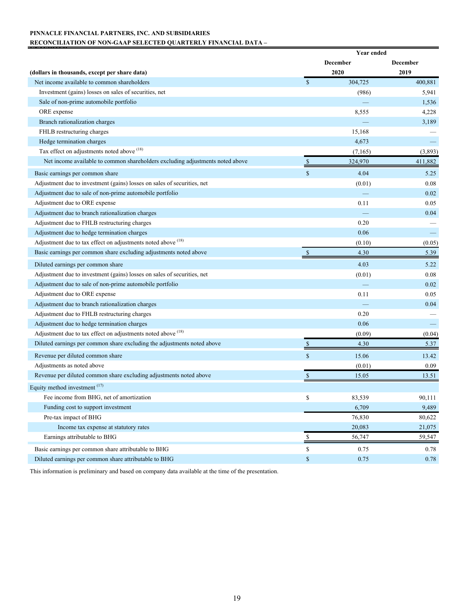## **PINNACLE FINANCIAL PARTNERS, INC. AND SUBSIDIARIES RECONCILIATION OF NON-GAAP SELECTED QUARTERLY FINANCIAL DATA –**

|                                                                               |                                 | Year ended      |          |
|-------------------------------------------------------------------------------|---------------------------------|-----------------|----------|
|                                                                               |                                 | <b>December</b> | December |
| (dollars in thousands, except per share data)                                 |                                 | 2020            | 2019     |
| Net income available to common shareholders                                   | <sup>\$</sup>                   | 304,725         | 400,881  |
| Investment (gains) losses on sales of securities, net                         |                                 | (986)           | 5,941    |
| Sale of non-prime automobile portfolio                                        |                                 |                 | 1,536    |
| ORE expense                                                                   |                                 | 8,555           | 4,228    |
| Branch rationalization charges                                                |                                 |                 | 3,189    |
| FHLB restructuring charges                                                    |                                 | 15,168          |          |
| Hedge termination charges                                                     |                                 | 4,673           |          |
| Tax effect on adjustments noted above (18)                                    |                                 | (7,165)         | (3,893)  |
| Net income available to common shareholders excluding adjustments noted above |                                 | 324,970         | 411,882  |
| Basic earnings per common share                                               | $\mathbf S$                     | 4.04            | 5.25     |
| Adjustment due to investment (gains) losses on sales of securities, net       |                                 | (0.01)          | 0.08     |
| Adjustment due to sale of non-prime automobile portfolio                      |                                 |                 | 0.02     |
| Adjustment due to ORE expense                                                 |                                 | 0.11            | 0.05     |
| Adjustment due to branch rationalization charges                              |                                 |                 | 0.04     |
| Adjustment due to FHLB restructuring charges                                  |                                 | 0.20            |          |
| Adjustment due to hedge termination charges                                   |                                 | 0.06            |          |
| Adjustment due to tax effect on adjustments noted above (18)                  |                                 | (0.10)          | (0.05)   |
| Basic earnings per common share excluding adjustments noted above             | $\mathbb{S}$                    | 4.30            | 5.39     |
| Diluted earnings per common share                                             |                                 | 4.03            | 5.22     |
| Adjustment due to investment (gains) losses on sales of securities, net       |                                 | (0.01)          | 0.08     |
| Adjustment due to sale of non-prime automobile portfolio                      |                                 |                 | 0.02     |
| Adjustment due to ORE expense                                                 |                                 | 0.11            | 0.05     |
| Adjustment due to branch rationalization charges                              |                                 |                 | 0.04     |
| Adjustment due to FHLB restructuring charges                                  |                                 | 0.20            |          |
| Adjustment due to hedge termination charges                                   |                                 | 0.06            |          |
| Adjustment due to tax effect on adjustments noted above (18)                  |                                 | (0.09)          | (0.04)   |
| Diluted earnings per common share excluding the adjustments noted above       | $\mathbb{S}$                    | 4.30            | 5.37     |
| Revenue per diluted common share                                              | $\mathbf S$                     | 15.06           | 13.42    |
| Adjustments as noted above                                                    |                                 | (0.01)          | 0.09     |
| Revenue per diluted common share excluding adjustments noted above            | \$                              | 15.05           | 13.51    |
| Equity method investment (17)                                                 |                                 |                 |          |
| Fee income from BHG, net of amortization                                      | \$                              | 83,539          | 90,111   |
| Funding cost to support investment                                            |                                 | 6,709           | 9,489    |
| Pre-tax impact of BHG                                                         |                                 | 76,830          | 80,622   |
| Income tax expense at statutory rates                                         |                                 | 20,083          | 21,075   |
| Earnings attributable to BHG                                                  | $\frac{\mathsf{s}}{\mathsf{s}}$ | 56,747          | 59,547   |
| Basic earnings per common share attributable to BHG                           | \$                              | 0.75            | 0.78     |
| Diluted earnings per common share attributable to BHG                         | \$                              | 0.75            | 0.78     |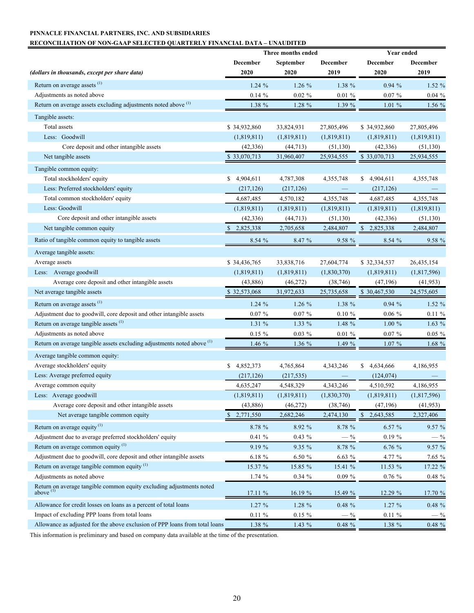## **PINNACLE FINANCIAL PARTNERS, INC. AND SUBSIDIARIES**

## **RECONCILIATION OF NON-GAAP SELECTED QUARTERLY FINANCIAL DATA – UNAUDITED**

|                                                                                     |                 | Three months ended |             | <b>Year ended</b> |              |  |  |
|-------------------------------------------------------------------------------------|-----------------|--------------------|-------------|-------------------|--------------|--|--|
|                                                                                     | December        | September          | December    | December          | December     |  |  |
| (dollars in thousands, except per share data)                                       | 2020            | 2020               | 2019        | 2020              | 2019         |  |  |
| Return on average assets <sup>(1)</sup>                                             | 1.24%           | 1.26%              | 1.38 %      | 0.94%             | 1.52 %       |  |  |
| Adjustments as noted above                                                          | 0.14%           | $0.02 \%$          | $0.01 \%$   | $0.07 \%$         | 0.04%        |  |  |
| Return on average assets excluding adjustments noted above (1)                      | 1.38 %          | $1.28 \%$          | 1.39%       | 1.01%             | 1.56%        |  |  |
| Tangible assets:                                                                    |                 |                    |             |                   |              |  |  |
| <b>Total</b> assets                                                                 | \$34,932,860    | 33,824,931         | 27,805,496  | \$34,932,860      | 27,805,496   |  |  |
| Less: Goodwill                                                                      | (1,819,811)     | (1,819,811)        | (1,819,811) | (1,819,811)       | (1,819,811)  |  |  |
| Core deposit and other intangible assets                                            | (42, 336)       | (44, 713)          | (51, 130)   | (42, 336)         | (51, 130)    |  |  |
| Net tangible assets                                                                 | \$33,070,713    | 31,960,407         | 25,934,555  | \$33,070,713      | 25,934,555   |  |  |
| Tangible common equity:                                                             |                 |                    |             |                   |              |  |  |
| Total stockholders' equity                                                          | 4,904,611<br>S. | 4,787,308          | 4,355,748   | \$4,904,611       | 4,355,748    |  |  |
| Less: Preferred stockholders' equity                                                | (217, 126)      | (217, 126)         |             | (217, 126)        |              |  |  |
| Total common stockholders' equity                                                   | 4,687,485       | 4,570,182          | 4,355,748   | 4,687,485         | 4,355,748    |  |  |
| Less: Goodwill                                                                      | (1,819,811)     | (1,819,811)        | (1,819,811) | (1,819,811)       | (1,819,811)  |  |  |
| Core deposit and other intangible assets                                            | (42, 336)       | (44, 713)          | (51, 130)   | (42, 336)         | (51, 130)    |  |  |
| Net tangible common equity                                                          | 2,825,338       | 2,705,658          | 2,484,807   | 2,825,338         | 2,484,807    |  |  |
| Ratio of tangible common equity to tangible assets                                  | 8.54%           | 8.47 %             | 9.58 %      | 8.54%             | 9.58 %       |  |  |
|                                                                                     |                 |                    |             |                   |              |  |  |
| Average tangible assets:<br>Average assets                                          | \$34,436,765    | 33,838,716         | 27,604,774  | \$32,334,537      | 26, 435, 154 |  |  |
| Less: Average goodwill                                                              | (1,819,811)     | (1,819,811)        | (1,830,370) | (1,819,811)       | (1,817,596)  |  |  |
| Average core deposit and other intangible assets                                    | (43, 886)       | (46, 272)          | (38, 746)   | (47,196)          | (41, 953)    |  |  |
| Net average tangible assets                                                         | \$32,573,068    | 31,972,633         | 25,735,658  | \$30,467,530      | 24,575,605   |  |  |
|                                                                                     |                 |                    |             |                   |              |  |  |
| Return on average assets <sup>(1)</sup>                                             | 1.24%           | 1.26%              | 1.38 %      | 0.94%             | $1.52 \%$    |  |  |
| Adjustment due to goodwill, core deposit and other intangible assets                | $0.07 \%$       | $0.07 \%$          | $0.10 \%$   | $0.06 \%$         | $0.11 \%$    |  |  |
| Return on average tangible assets <sup>(1)</sup>                                    | 1.31 %          | 1.33 %             | 1.48 %      | 1.00%             | 1.63%        |  |  |
| Adjustments as noted above                                                          | $0.15 \%$       | $0.03 \%$          | $0.01 \%$   | $0.07 \%$         | $0.05 \%$    |  |  |
| Return on average tangible assets excluding adjustments noted above (1)             | 1.46 %          | 1.36 %             | 1.49 %      | 1.07%             | $1.68 \%$    |  |  |
| Average tangible common equity:                                                     |                 |                    |             |                   |              |  |  |
| Average stockholders' equity                                                        | 4,852,373<br>S  | 4,765,864          | 4,343,246   | \$4,634,666       | 4,186,955    |  |  |
| Less: Average preferred equity                                                      | (217, 126)      | (217, 535)         |             | (124, 074)        |              |  |  |
| Average common equity                                                               | 4,635,247       | 4,548,329          | 4,343,246   | 4,510,592         | 4,186,955    |  |  |
| Less: Average goodwill                                                              | (1,819,811)     | (1,819,811)        | (1,830,370) | (1,819,811)       | (1,817,596)  |  |  |
| Average core deposit and other intangible assets                                    | (43,886)        | (46, 272)          | (38, 746)   | (47,196)          | (41, 953)    |  |  |
| Net average tangible common equity                                                  | 2,771,550<br>\$ | 2,682,246          | 2,474,130   | 2,643,585         | 2,327,406    |  |  |
| Return on average equity $(1)$                                                      | 8.78 %          | 8.92 %             | 8.78 %      | 6.57%             | 9.57 %       |  |  |
| Adjustment due to average preferred stockholders' equity                            | 0.41%           | $0.43 \%$          | $-$ %       | $0.19 \%$         | $-$ %        |  |  |
| Return on average common equity $(1)$                                               | 9.19 %          | 9.35 %             | 8.78 %      | 6.76 %            | 9.57 %       |  |  |
| Adjustment due to goodwill, core deposit and other intangible assets                | $6.18 \%$       | 6.50 %             | 6.63%       | 4.77 %            | 7.65 %       |  |  |
| Return on average tangible common equity <sup>(1)</sup>                             | 15.37 %         | 15.85 %            | 15.41 %     | 11.53 %           | 17.22 %      |  |  |
| Adjustments as noted above                                                          | 1.74%           | $0.34 \%$          | $0.09 \%$   | 0.76%             | $0.48 \%$    |  |  |
| Return on average tangible common equity excluding adjustments noted<br>above $(1)$ | 17.11 %         | 16.19 %            | 15.49 %     | 12.29 %           | 17.70 %      |  |  |
| Allowance for credit losses on loans as a percent of total loans                    | 1.27 %          | 1.28 %             | $0.48 \%$   | 1.27%             | 0.48 %       |  |  |
| Impact of excluding PPP loans from total loans                                      | $0.11 \%$       | $0.15 \%$          | $-$ %       | $0.11 \%$         | $-$ %        |  |  |
| Allowance as adjusted for the above exclusion of PPP loans from total loans         | 1.38 %          | 1.43 %             | $0.48 \%$   | $1.38~\%$         | 0.48 %       |  |  |